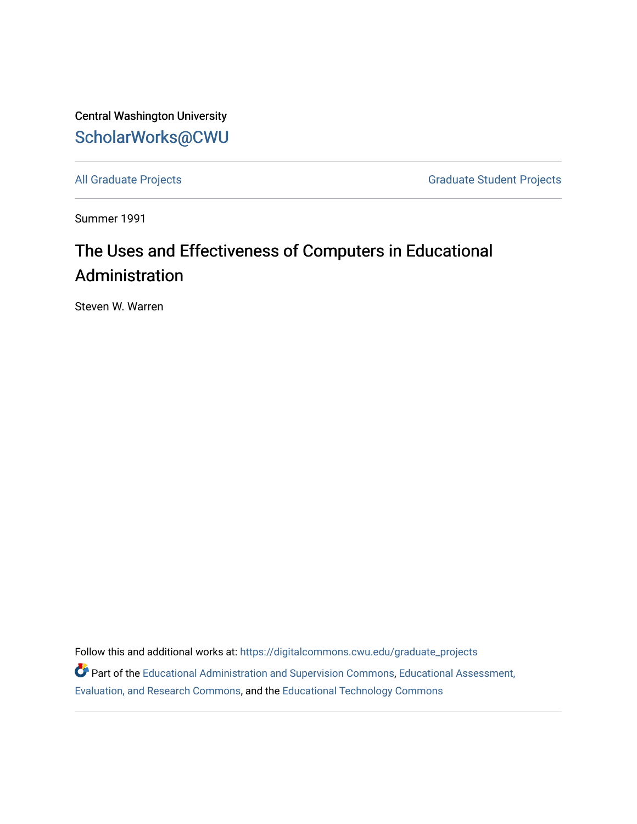Central Washington University [ScholarWorks@CWU](https://digitalcommons.cwu.edu/) 

[All Graduate Projects](https://digitalcommons.cwu.edu/graduate_projects) **Graduate Student Projects** Graduate Student Projects

Summer 1991

# The Uses and Effectiveness of Computers in Educational Administration

Steven W. Warren

Follow this and additional works at: [https://digitalcommons.cwu.edu/graduate\\_projects](https://digitalcommons.cwu.edu/graduate_projects?utm_source=digitalcommons.cwu.edu%2Fgraduate_projects%2F371&utm_medium=PDF&utm_campaign=PDFCoverPages) Part of the [Educational Administration and Supervision Commons](http://network.bepress.com/hgg/discipline/787?utm_source=digitalcommons.cwu.edu%2Fgraduate_projects%2F371&utm_medium=PDF&utm_campaign=PDFCoverPages), [Educational Assessment,](http://network.bepress.com/hgg/discipline/796?utm_source=digitalcommons.cwu.edu%2Fgraduate_projects%2F371&utm_medium=PDF&utm_campaign=PDFCoverPages)  [Evaluation, and Research Commons,](http://network.bepress.com/hgg/discipline/796?utm_source=digitalcommons.cwu.edu%2Fgraduate_projects%2F371&utm_medium=PDF&utm_campaign=PDFCoverPages) and the [Educational Technology Commons](http://network.bepress.com/hgg/discipline/1415?utm_source=digitalcommons.cwu.edu%2Fgraduate_projects%2F371&utm_medium=PDF&utm_campaign=PDFCoverPages)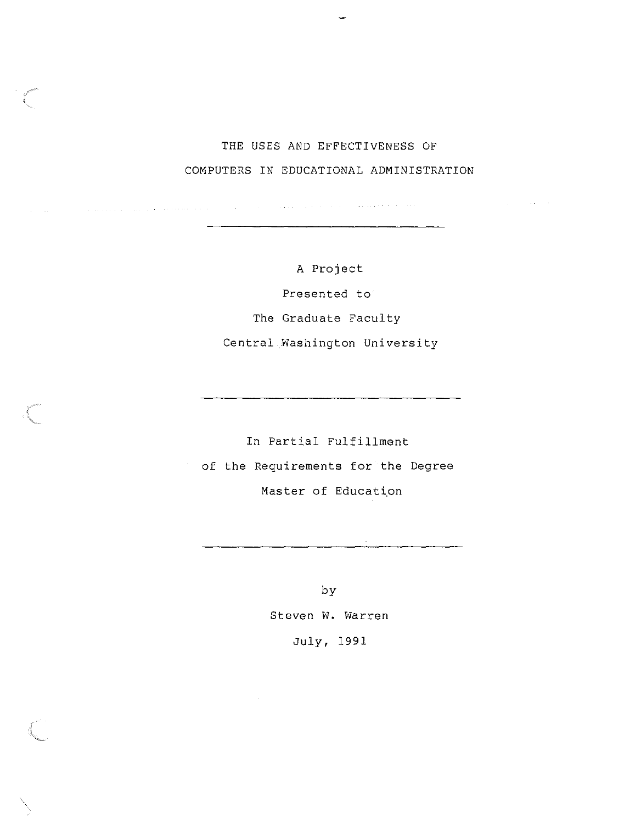# THE USES AND EFFECTIVENESS OF COMPUTERS IN EDUCATIONAL ADMINISTRATION

 $\mathcal{L}_{\rm{max}}$  and  $\mathcal{L}_{\rm{max}}$  is a simple polarization of the maximum constant  $\mathcal{L}_{\rm{max}}$ 

. The construction of the construction of the construction of the  $\alpha$ 

 $\sim$ 

A Project Presented to The Graduate Faculty Central Washington University

In Partial Fulfillment of the Requirements for the Degree Master of Education

> by Steven w. Warren July, 1991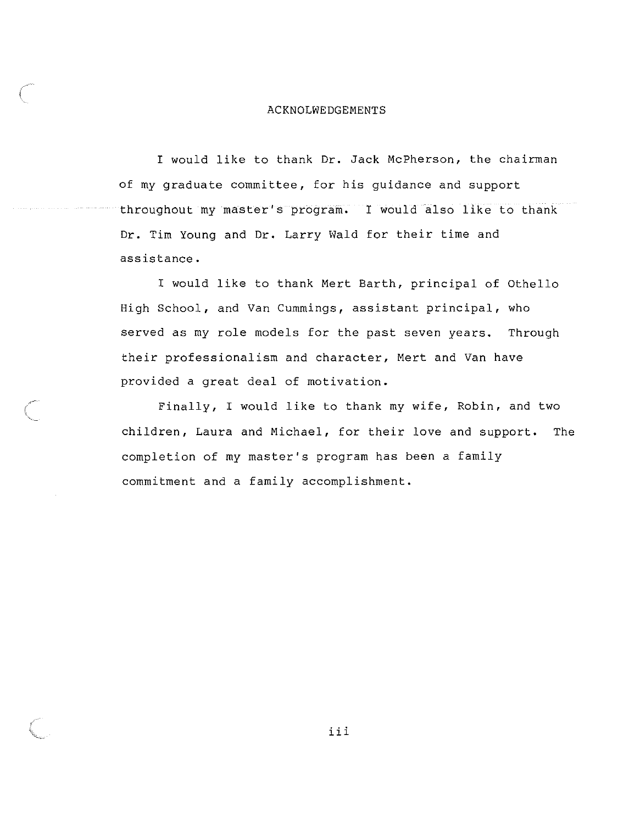#### ACKNOLWEDGEMENTS

I would like to thank Dr. Jack McPherson, the chairman of my graduate committee, for his guidance and support throughout my master's program. I would also like to thank Dr. Tim Young and Dr. Larry Wald for their time and assistance.

I would like to thank Mert Barth, principal of Othello High School, and Van Cummings, assistant principal, who served as my role models for the past seven years. Through their professionalism and character, Mert and Van have provided a great deal of motivation.

Finally, I would like to thank my wife, Robin, and two children, Laura and Michael, for their love and support. The completion of my master's program has been a family commitment and a family accomplishment.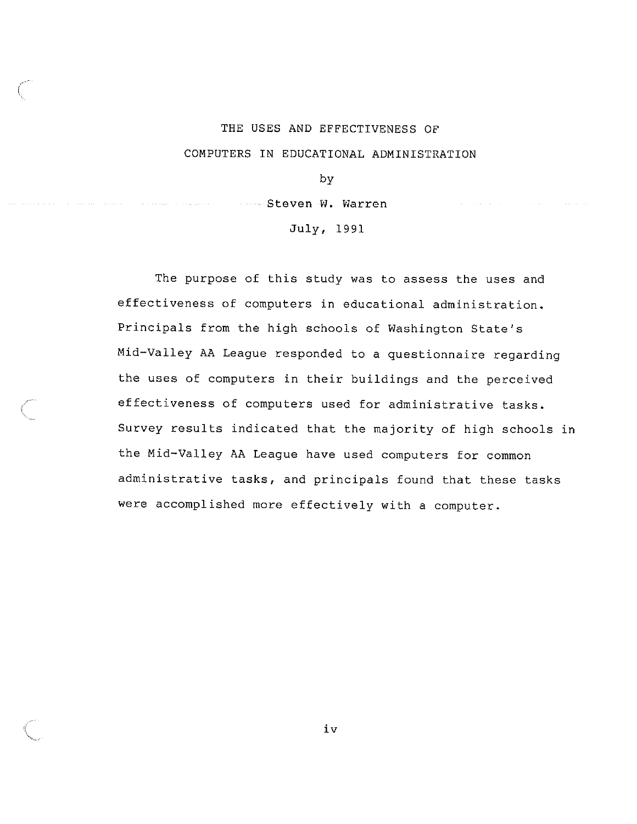#### THE USES AND EFFECTIVENESS OF

#### COMPUTERS IN EDUCATIONAL ADMINISTRATION

by

Steven W. Warren

July, 1991

The purpose of this study was to assess the uses and effectiveness of computers in educational administration. Principals from the high schools of Washington State's Mid-Valley AA League responded to a questionnaire regarding the uses of computers in their buildings and the perceived effectiveness of computers used for administrative tasks. Survey results indicated that the majority of high schools in the Mid-Valley AA League have used computers for common administrative tasks, and principals found that these tasks were accomplished more effectively with a computer.

iv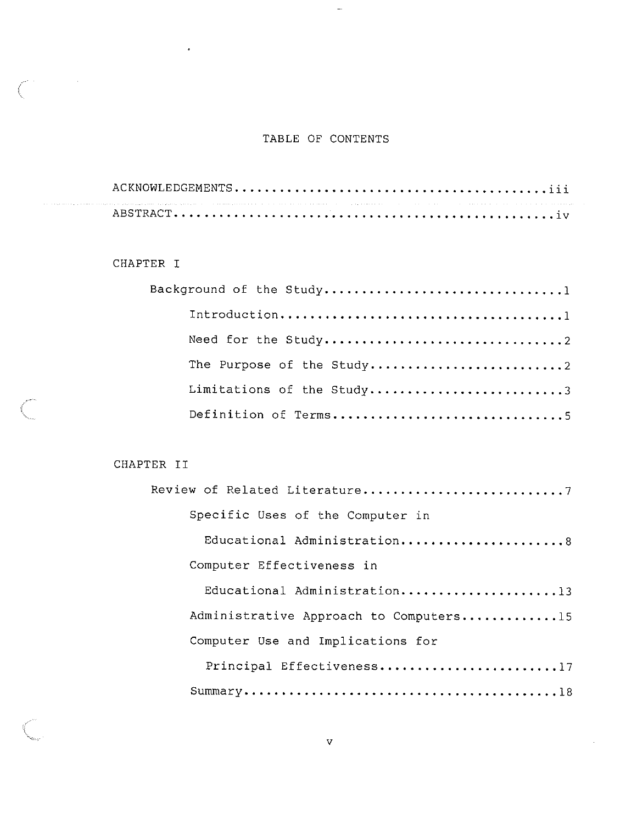### TABLE OF CONTENTS

 $\sim$ 

#### CHAPTER I

 $\hat{\beta}$  is a superconductor of the same

 $\ddot{\phantom{0}}$ 

| Limitations of the Study3 |
|---------------------------|
|                           |

#### CHAPTER II

 $\bar{z}$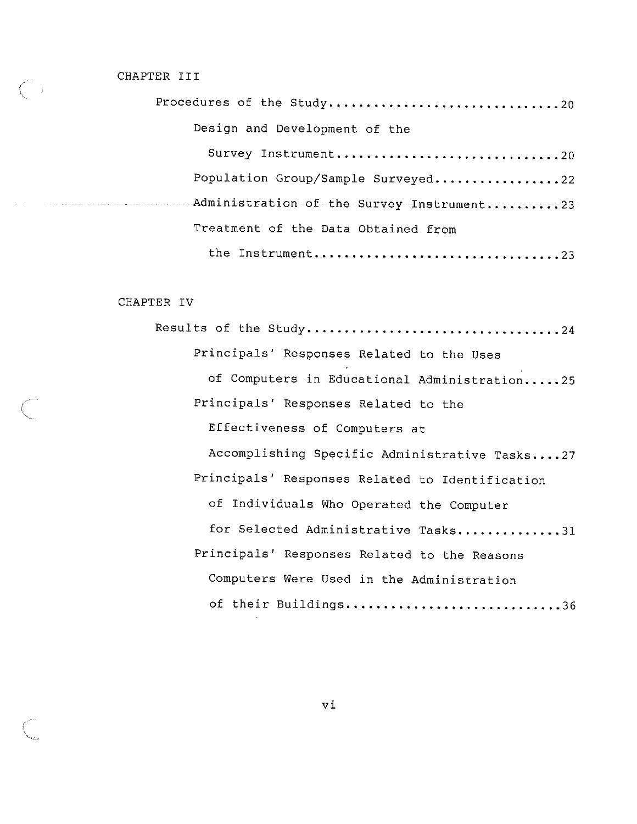#### CHAPTER III

| Procedures of the Study20                 |
|-------------------------------------------|
| Design and Development of the             |
| Survey Instrument20                       |
| Population Group/Sample Surveyed22        |
| Administration of the Survey Instrument23 |
| Treatment of the Data Obtained from       |
| the Instrument23                          |

#### CHAPTER IV

Results of the Study ....•......••.... , ..... , ....••.. , . 24 Principals' Responses Related to the Uses of Computers in Educational Administration.....25 Principals' Responses Related to the Effectiveness of Computers at Accomplishing Specific Administrative Tasks....27 Principals' Responses Related to Identification of Individuals Who Operated the Computer for Selected Administrative Tasks..............31 Principals' Responses Related to the Reasons Computers Were Used in the Administration of their Buildings................................36

vi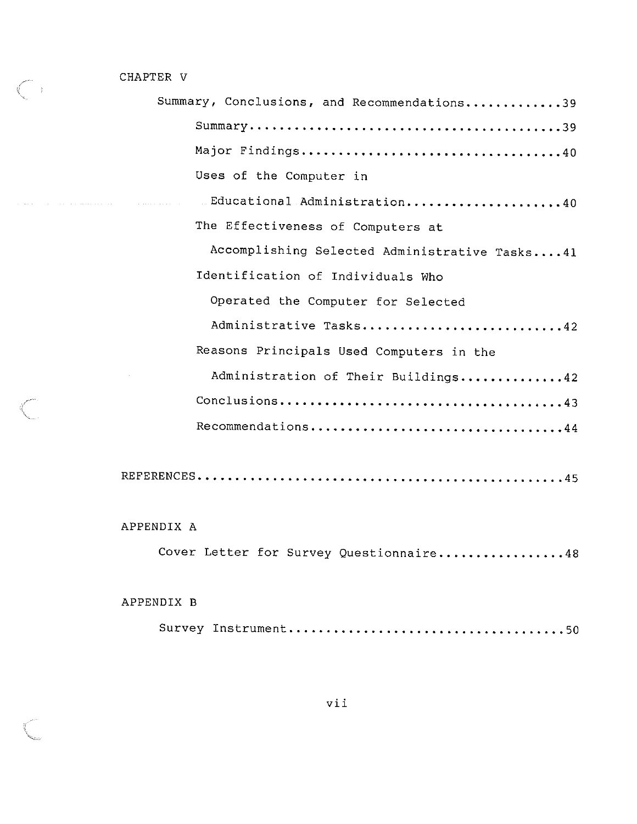CHAPTER V

 $\begin{pmatrix} 1 \\ 1 \end{pmatrix}$ 

 $\begin{picture}(220,20) \put(0,0){\line(1,0){10}} \put(15,0){\line(1,0){10}} \put(15,0){\line(1,0){10}} \put(15,0){\line(1,0){10}} \put(15,0){\line(1,0){10}} \put(15,0){\line(1,0){10}} \put(15,0){\line(1,0){10}} \put(15,0){\line(1,0){10}} \put(15,0){\line(1,0){10}} \put(15,0){\line(1,0){10}} \put(15,0){\line(1,0){10}} \put(15,0){\line($ 

alahan.<br>Kabupatèn

| Summary, Conclusions, and Recommendations39 |                                               |
|---------------------------------------------|-----------------------------------------------|
|                                             |                                               |
|                                             |                                               |
| Uses of the Computer in                     |                                               |
| Educational Administration40                |                                               |
| The Effectiveness of Computers at           |                                               |
|                                             | Accomplishing Selected Administrative Tasks41 |
| Identification of Individuals Who           |                                               |
| Operated the Computer for Selected          |                                               |
|                                             | Administrative Tasks42                        |
| Reasons Principals Used Computers in the    |                                               |
|                                             | Administration of Their Buildings42           |
|                                             |                                               |
| Recommendations44                           |                                               |
|                                             |                                               |
|                                             |                                               |

APPENDIX A

|  |  | Cover Letter for Survey Questionnaire48 |
|--|--|-----------------------------------------|
|  |  |                                         |

### APPENDIX B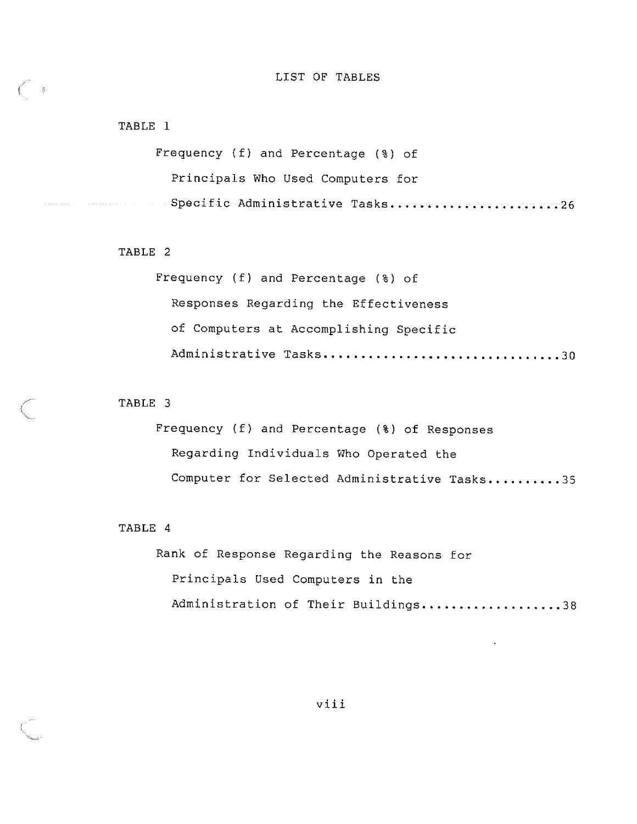#### LIST OF TABLES

#### TABLE 1

 $\frac{1}{2}$ 

Frequency (f) and Percentage (%) of Principals Who Used Computers for Specific Administrative Tasks. •••••••••••••••••••••••••••

#### TABLE 2

Frequency (f) and Percentage (%) of Responses Regarding the Effectiveness of Computers at Accomplishing Specific Administrative Tasks .............•.................. 30

#### TABLE 3

Frequency (f) and Percentage (%) of Responses Regarding Individuals Who Operated the Computer for Selected Administrative Tasks..........35

#### TABLE 4

Rank of Response Regarding the Reasons for Principals Used Computers in the Administration of Their Buildings....................38

viii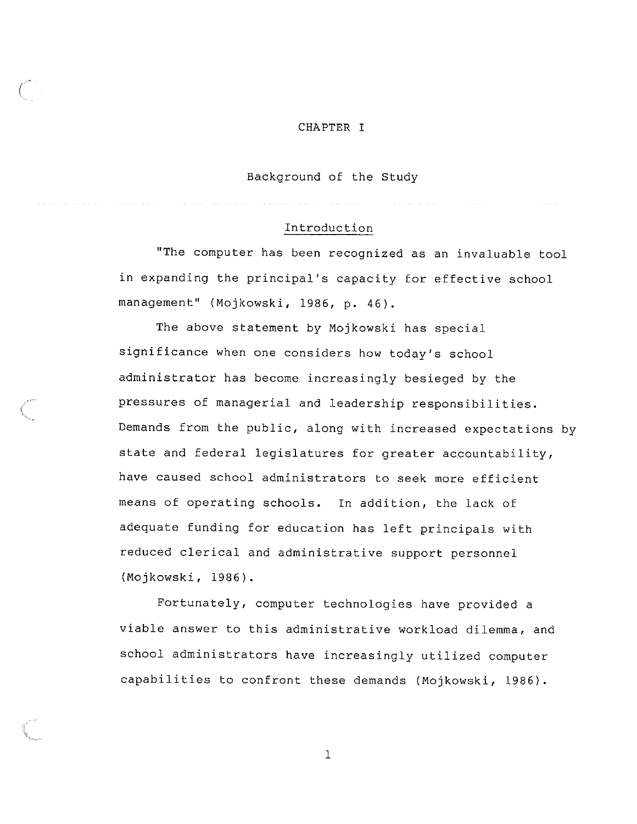#### CHAPTER I

#### Background of the Study

#### Introduction

"The computer has been recognized as an invaluable tool in expanding the principal's capacity for effective school management" (Mojkowski, 1986, p. 46).

The above statement by Mojkowski has special significance when one considers how today's school administrator has become increasingly besieged by the pressures of managerial and leadership responsibilities. Demands from the public, along with increased expectations by state and federal legislatures for greater accountability, have caused school administrators to seek more efficient means of operating schools. In addition, the lack of adequate funding for education has left principals with reduced clerical and administrative support personnel (Majkowski, 1986).

Fortunately, computer technologies have provided a viable answer to this administrative workload dilemma, and school administrators have increasingly utilized computer capabilities to confront these demands (Mojkowski, 1986).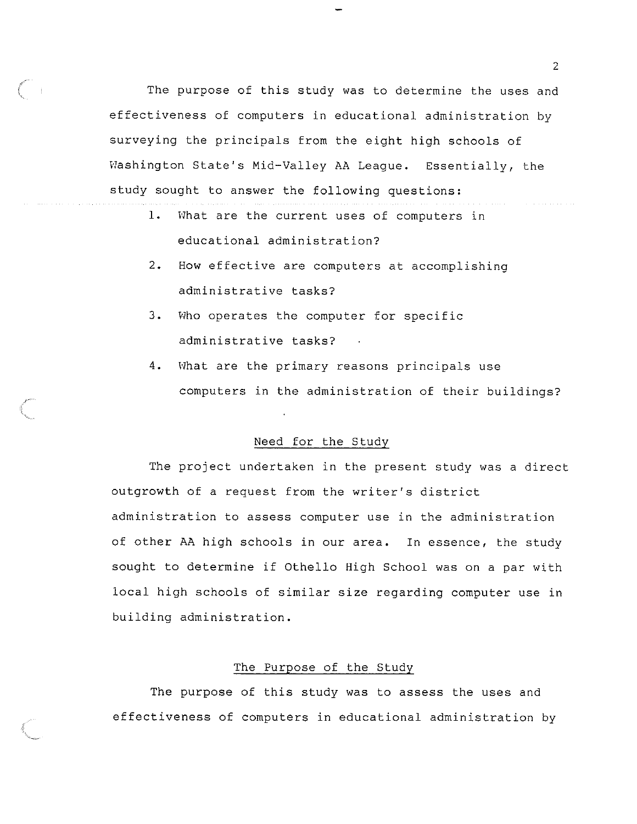The purpose of this study was to determine the uses and effectiveness of computers in educational administration by surveying the principals from the eight high schools of Washington State's Mid-Valley AA League. Essentially, the study sought to answer the following questions:

- 1. What are the current uses of computers in educational administration?
- 2. How effective are computers at accomplishing administrative tasks?
- 3. Who operates the computer for specific administrative tasks?
- 4. What are the primary reasons principals use computers in the administration of their buildings?

#### Need for the Study

The project undertaken in the present study was a direct outgrowth of a request from the writer's district administration to assess computer use in the administration of other AA high schools in our area. In essence, the study sought to determine if Othello High School was on a par with local high schools of similar size regarding computer use in building administration.

#### The Purpose of the Study

The purpose of this study was to assess the uses and effectiveness of computers in educational administration by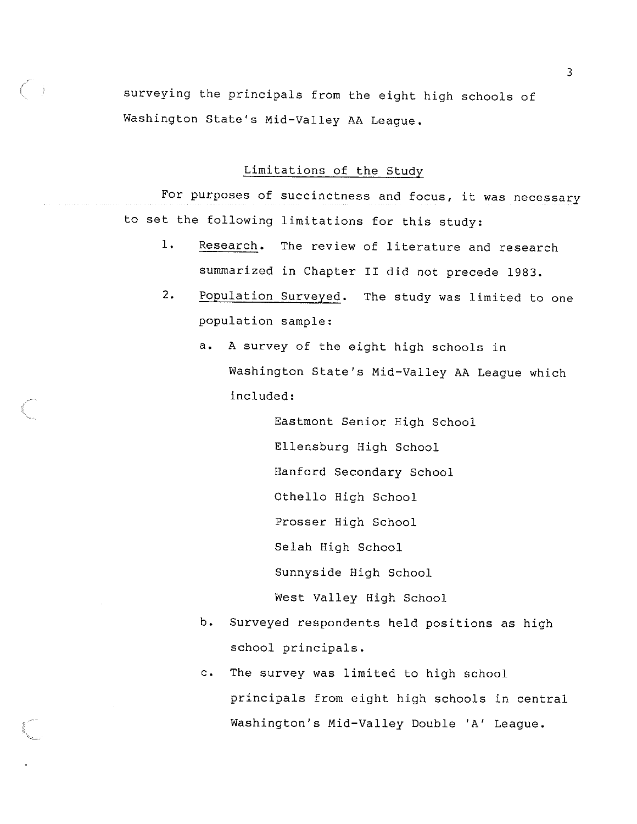surveying the principals from the eight high schools of Washington State's Mid-Valley AA League.

 $\left( \begin{array}{cc} 0 & 0 \\ 0 & 0 \end{array} \right)$ 

Limitations of the Study

For purposes of succinctness and focus, it was necessary to set the following limitations for this study:

- 1. Research. The review of literature and research summarized in Chapter II did not precede 1983.
- 2. Population Surveyed. The study was limited to one population sample:
	- a. A survey of the eight high schools in Washington State's Mid-Valley AA League which included:

Eastmont Senior High School Ellensburg High School Hanford Secondary School Othello High School Prosser High School Selah High School Sunnyside High School West Valley High School

- b. Surveyed respondents held positions as high school principals.
- c. The survey was limited to high school principals from eight high schools in central Washington's Mid-Valley Double 'A' League.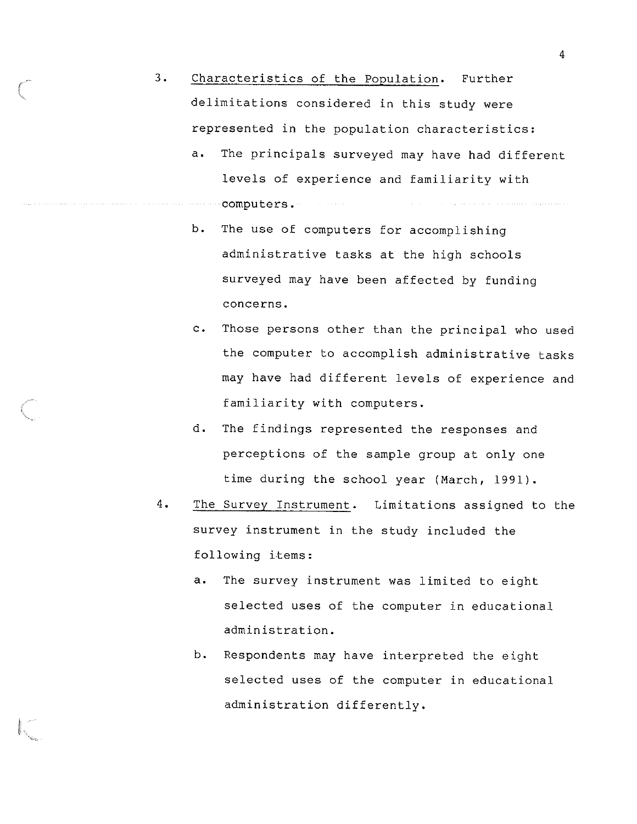- 3. Characteristics of the Population. Further delimitations considered in this study were represented in the population characteristics:
	- a. The principals surveyed may have had different levels of experience and familiarity with computers.
	- b. The use of computers for accomplishing administrative tasks at the high schools surveyed may have been affected by funding concerns.
	- c. Those persons other than the principal who used the computer to accomplish administrative tasks may have had different levels of experience and familiarity with computers.
	- d. The findings represented the responses and perceptions of the sample group at only one time during the school year (March, 1991).
- 4. The Survey Instrument. Limitations assigned to the survey instrument in the study included the following items:
	- a. The survey instrument was limited to eight selected uses of the computer in educational administration.
	- b. Respondents may have interpreted the eight selected uses of the computer in educational administration differently.

I.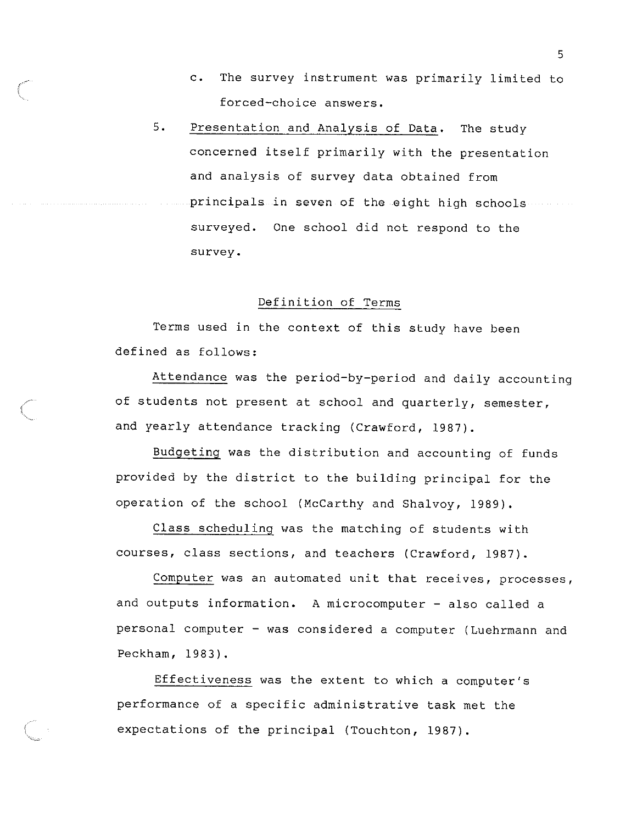- c. The survey instrument was primarily limited to forced-choice answers.
- 5 . Presentation and Analysis of Data. The study concerned itself primarily with the presentation and analysis of survey data obtained from principals in seven of the eight high schools surveyed. One school did not respond to the survey.

#### Definition of Terms

Terms used in the context of this study have been defined as follows:

Attendance was the period-by-period and daily accounting of students not present at school and quarterly, semester, and yearly attendance tracking (Crawford, 1987).

Budgeting was the distribution and accounting of funds provided by the district to the building principal for the operation of the school (McCarthy and Shalvoy, 1989).

Class scheduling was the matching of students with courses, class sections, and teachers (Crawford, 1987).

Computer was an automated unit that receives, processes, and outputs information. A microcomputer - also called a personal computer - was considered a computer (Luehrmann and Peckham, 1983).

Effectiveness was the extent to which a computer's performance of a specific administrative task met the expectations of the principal (Touchton, 1987).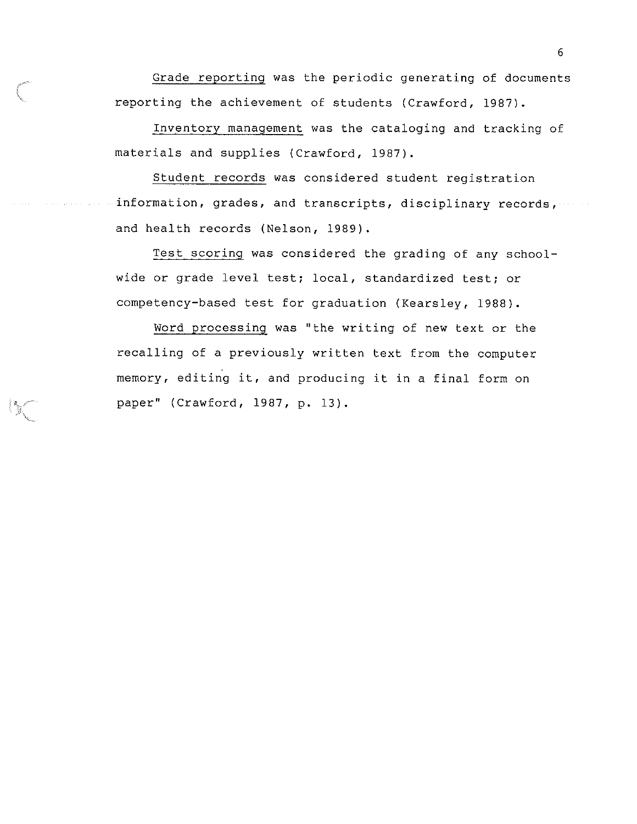Grade reporting was the periodic generating of documents reporting the achievement of students (Crawford, 1987).

Inventory management was the cataloging and tracking of materials and supplies (Crawford, 1987).

Student records was considered student registration information, grades, and transcripts, disciplinary records, and health records (Nelson, 1989).

Test scoring was considered the grading of any schoolwide or grade level test; local, standardized test; or competency-based test for graduation (Kearsley, 1988).

Word processing was "the writing of new text or the recalling of a previously written text from the computer memory, editing it, and producing it in a final form on paper" (Crawford, 1987, p. 13).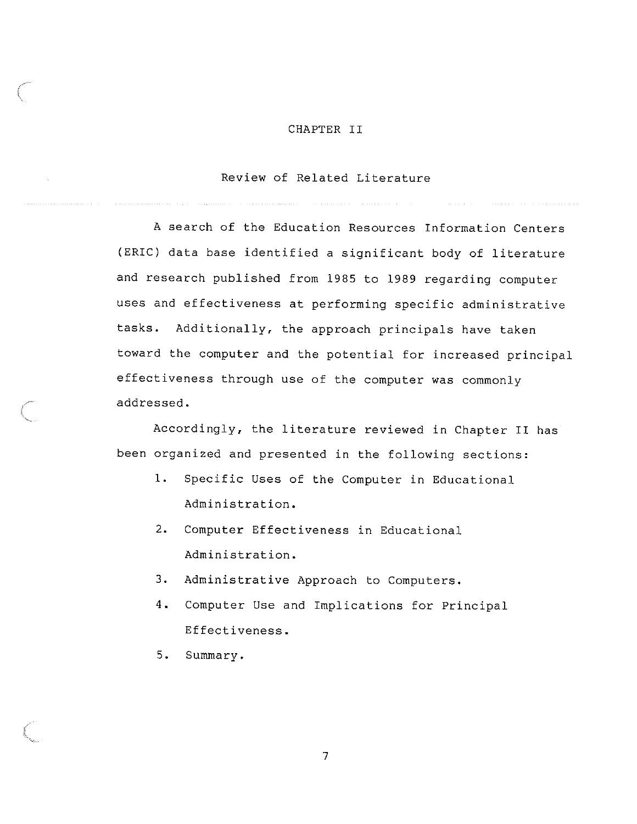#### CHAPTER II

#### Review of Related Literature

A search of the Education Resources Information Centers (ERIC) data base identified a significant body of literature and research published from 1985 to 1989 regarding computer uses and effectiveness at performing specific administrative tasks. Additionally, the approach principals have taken toward the computer and the potential for increased principal effectiveness through use of the computer was commonly addressed.

Accordingly, the literature reviewed in Chapter II has been organized and presented in the following sections:

- 1. Specific Uses of the Computer in Educational Administration.
- 2. Computer Effectiveness in Educational Administration.
- 3. Administrative Approach to Computers.
- 4. Computer Use and Implications for Principal Effectiveness.
- 5. Summary.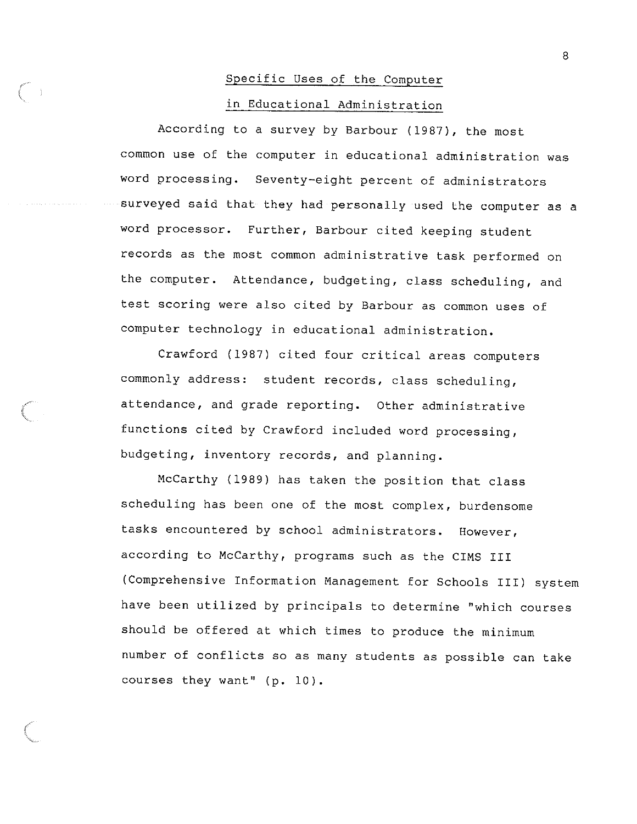# Specific Uses of the Computer in Educational Administration

According to a survey by Barbour (1987), the most common use of the computer in educational administration was word processing. Seventy-eight percent of administrators surveyed said that they had personally used the computer as a word processor. Further, Barbour cited keeping student records as the most common administrative task performed on the computer. Attendance, budgeting, class scheduling, and test scoring were also cited by Barbour as common uses of computer technology in educational administration.

Crawford (1987) cited four critical areas computers commonly address: student records, class scheduling, attendance, and grade reporting. Other administrative functions cited by Crawford included word processing, budgeting, inventory records, and planning.

McCarthy (1989) has taken the position that class scheduling has been one of the most complex, burdensome tasks encountered by school administrators. However, according to McCarthy, programs such as the CIMS III (Comprehensive Information Management for Schools III) system have been utilized by principals to determine "which courses should be offered at which times to produce the minimum number of conflicts so as many students as possible can take courses they want" (p. 10).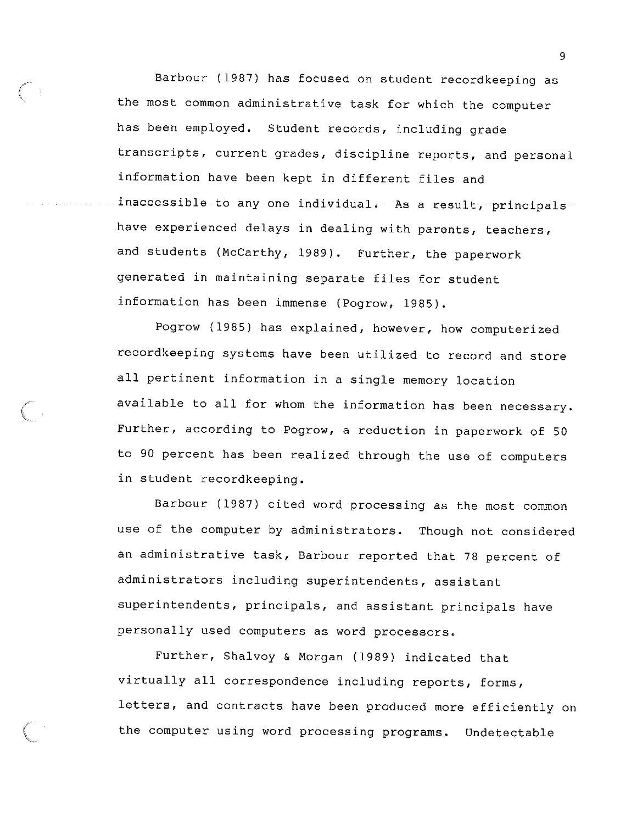Barbour (1987) has focused on student recordkeeping as the most common administrative task for which the computer has been employed. Student records, including grade transcripts, current grades, discipline reports, and personal information have been kept in different files and inaccessible to any one individual. As a result, principals have experienced delays in dealing with parents, teachers, and students (McCarthy, 1989). Further, the paperwork generated in maintaining separate files for student information has been immense (Pogrow, 1985).

Pogrow (1985) has explained, however, how computerized recordkeeping systems have been utilized to record and store all pertinent information in a single memory location available to all for whom the information has been necessary. Further, according to Pogrow, a reduction in paperwork of 50 to 90 percent has been realized through the use of computers in student recordkeeping.

Barbour (1987) cited word processing as the most common use of the computer *by* administrators. Though not considered an administrative task, Barbour reported that 78 percent of administrators including superintendents, assistant superintendents, principals, and assistant principals have personally used computers as word processors.

Further, Shalvoy & Morgan (1989) indicated that virtually all correspondence including reports, forms, letters, and contracts have been produced more efficiently on the computer using word processing programs. Undetectable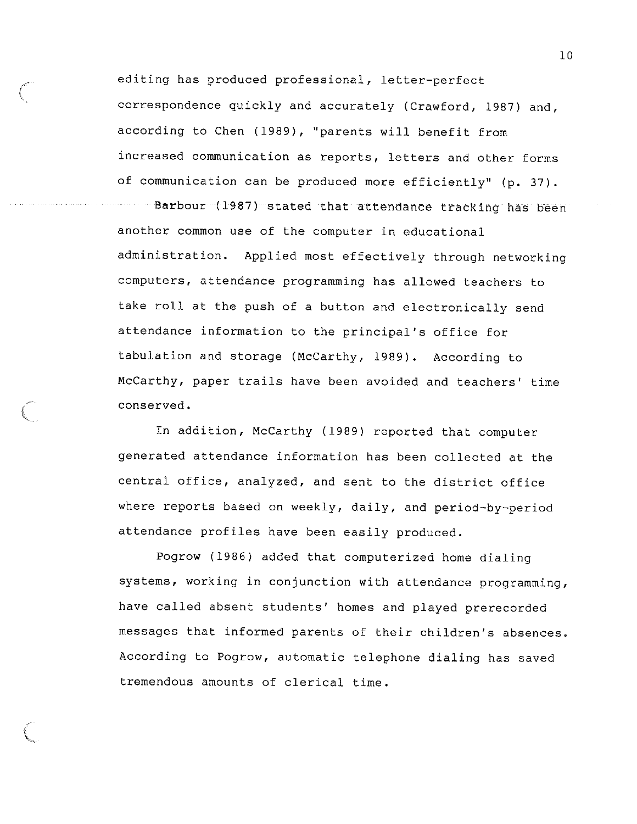editing has produced professional, letter-perfect correspondence quickly and accurately (Crawford, 1987) and, according to Chen (1989), "parents will benefit from increased communication as reports, letters and other forms of communication can be produced more efficiently" (p. 37). Barbour (1987) stated that attendance tracking has been another common use of the computer in educational administration. Applied most effectively through networking computers, attendance programming has allowed teachers to take roll at the push of a button and electronically send attendance information to the principal's office for tabulation and storage (McCarthy, 1989). According to McCarthy, paper trails have been avoided and teachers' time conserved.

In addition, McCarthy (1989) reported that computer generated attendance information has been collected at the central office, analyzed, and sent to the district office where reports based on weekly, daily, and period-by-period attendance profiles have been easily produced.

Pogrow (1986) added that computerized home dialing systems, working in conjunction with attendance programming, have called absent students' homes and played prerecorded messages that informed parents of their children's absences. According to Pogrow, automatic telephone dialing has saved tremendous amounts of clerical time.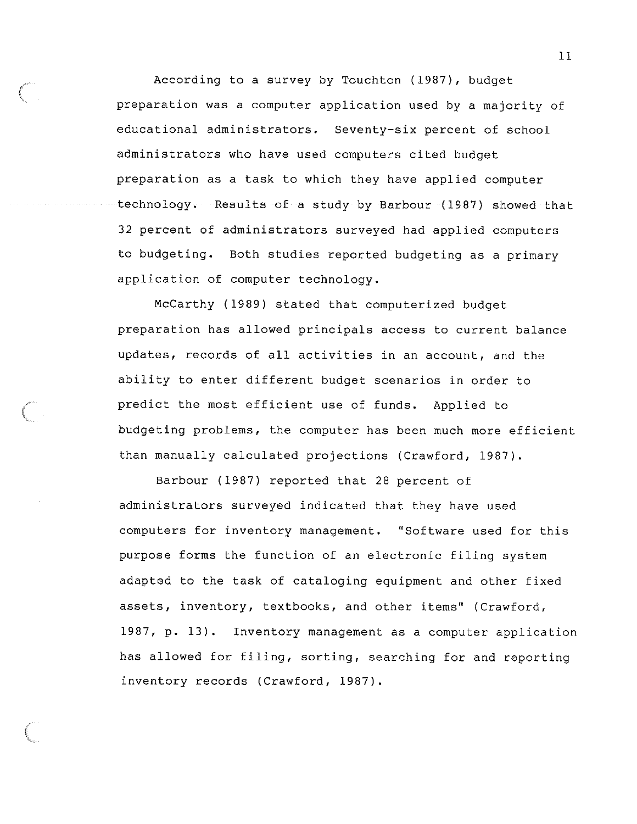According to a survey by Touchton (1987), budget preparation was a computer application used by a majority of educational administrators. Seventy-six percent of school administrators who have used computers cited budget preparation as a task to which they have applied computer technology. Results of a study by Barbour (1987) showed that 32 percent of administrators surveyed had applied computers to budgeting. Both studies reported budgeting as a primary application of computer technology.

McCarthy (1989) stated that computerized budget preparation has allowed principals access to current balance updates, records of all activities in an account, and the ability to enter different budget scenarios in order to predict the most efficient use of funds. Applied to budgeting problems, the computer has been much more efficient than manually calculated projections (Crawford, 1987).

Barbour (1987) reported that 28 percent of administrators surveyed indicated that they have used computers for inventory management. "Software used for this purpose forms the function of an electronic filing system adapted to the task of cataloging equipment and other fixed assets, inventory, textbooks, and other items" (Crawford, 1987, p. 13). Inventory management as a computer application has allowed for filing, sorting, searching for and reporting inventory records (Crawford, 1987).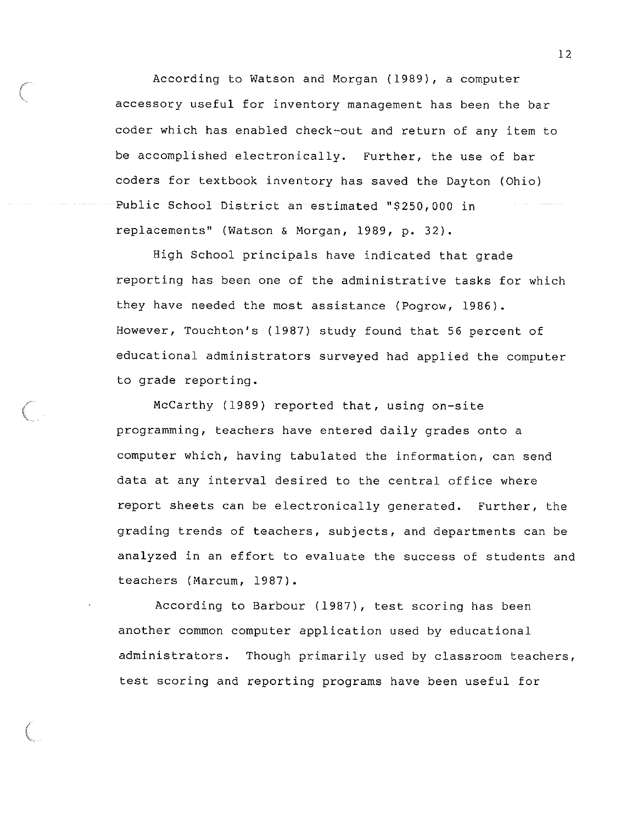According to Watson and Morgan (1989), a computer accessory useful for inventory management has been the bar coder which has enabled check-out and return of any item to be accomplished electronically. Further, the use of bar coders for textbook inventory has saved the Dayton (Ohio) Public School District an estimated "\$250,000 in replacements" (Watson & Morgan, 1989, p. 32).

High School principals have indicated that grade reporting has been one of the administrative tasks for which they have needed the most assistance (Pogrow, 1986). However, Touchton's (1987) study found that 56 percent of educational administrators surveyed had applied the computer to grade reporting.

McCarthy (1989) reported that, using on-site programming, teachers have entered daily grades onto a computer which, having tabulated the information, can send data at any interval desired to the central office where report sheets can be electronically generated. Further, the grading trends of teachers, subjects, and departments can be analyzed in an effort to evaluate the success of students and teachers (Marcum, 1987).

According to Barbour (1987), test scoring has been another common computer application used by educational administrators. Though primarily used by classroom teachers, test scoring and reporting programs have been useful for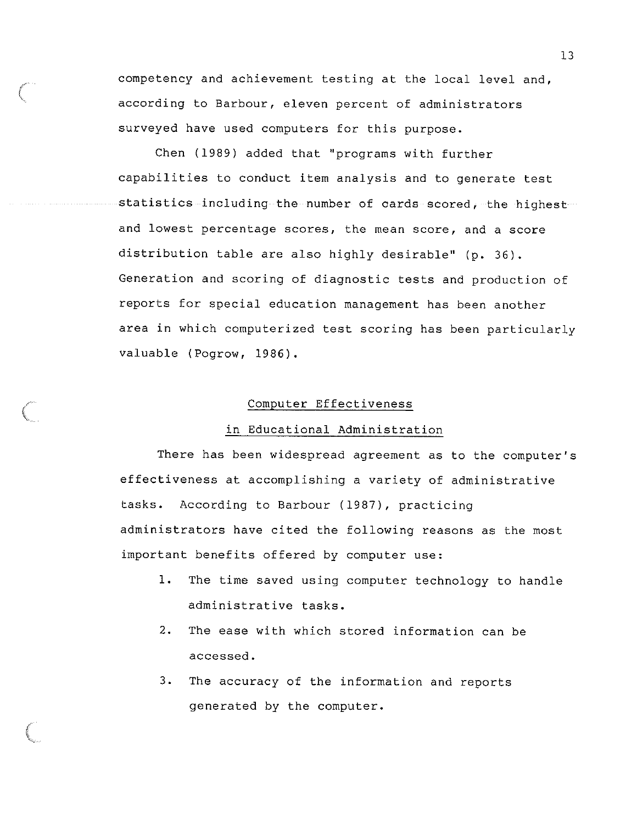competency and achievement testing at the local level and, according to Barbour, eleven percent of administrators surveyed have used computers for this purpose.

Chen (1989) added that "programs with further capabilities to conduct item analysis and to generate test statistics including the number of cards scored, the highest and lowest percentage scores, the mean score, and a score distribution table are also highly desirable" (p. 36). Generation and scoring of diagnostic tests and production of reports for special education management has been another area in which computerized test scoring has been particularly valuable (Pogrow, 1986).

#### Computer Effectiveness

#### in Educational Administration

There has been widespread agreement as to the computer's effectiveness at accomplishing a variety of administrative tasks. According to Barbour (1987), practicing administrators have cited the following reasons as the most important benefits offered by computer use:

- 1. The time saved using computer technology to handle administrative tasks.
- 2. The ease with which stored information can be accessed.
- 3. The accuracy of the information and reports generated by the computer.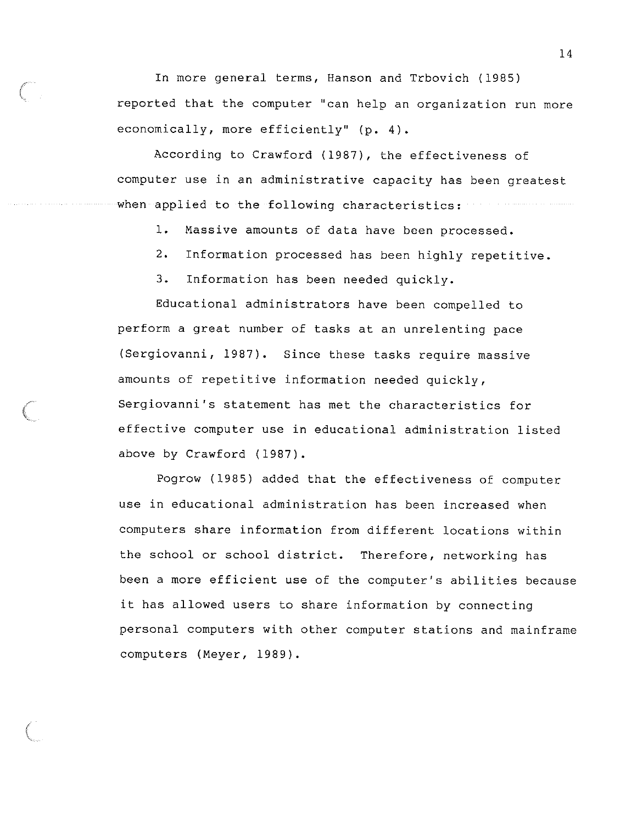In more general terms, Hanson and Trbovich (1985) reported that the computer ''can help an organization run more economically, more efficiently" (p. 4).

According to Crawford (1987), the effectiveness of computer use in an administrative capacity has been greatest when applied to the following characteristics:

1. Massive amounts of data have been processed.

2. Information processed has been highly repetitive.

3. Information has been needed quickly.

*(* 

 $\Big($ 

Educational administrators have been compelled to perform a great number of tasks at an unrelenting pace (Sergiovanni, 1987). Since these tasks require massive amounts of repetitive information needed quickly, Sergiovanni's statement has met the characteristics for effective computer use in educational administration listed above by Crawford (1987).

Pogrow (1985) added that the effectiveness of computer use in educational administration has been increased when computers share information from different locations within the school or school district. Therefore, networking has been a more efficient use of the computer's abilities because it has allowed users to share information by connecting personal computers with other computer stations and mainframe computers (Meyer, 1989).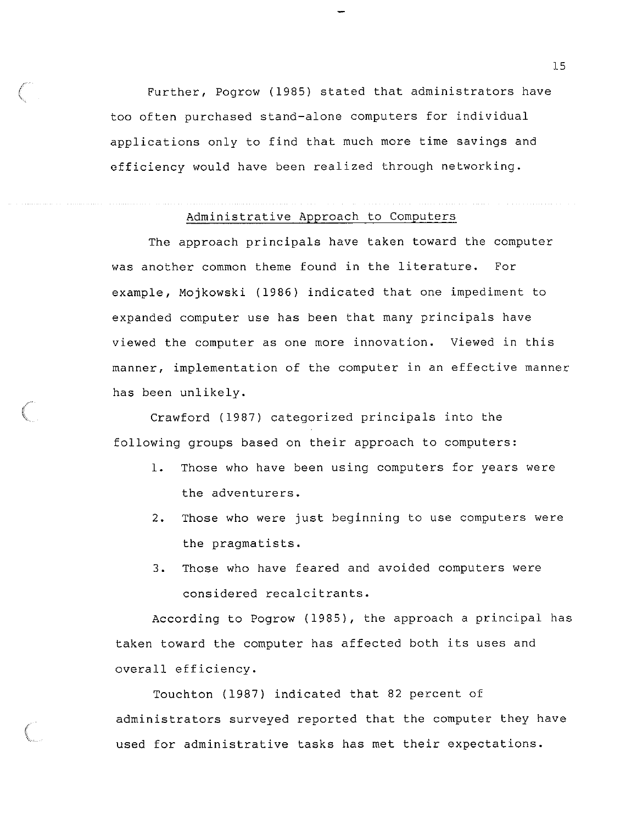Further, Pogrow (1985) stated that administrators have too often purchased stand-alone computers for individual applications only to find that much more time savings and efficiency would have been realized through networking.

*(* 

**(Contractor)** 

### Administrative Approach to Computers

The approach principals have taken toward the computer was another common theme found in the literature. For example, Mojkowski (1986) indicated that one impediment to expanded computer use has been that many principals have viewed the computer as one more innovation. Viewed in this manner, implementation of the computer in an effective manner has been unlikely.

Crawford (1987) categorized principals into the following groups based on their approach to computers:

- 1. Those who have been using computers for years were the adventurers.
- 2. Those who were just beginning to use computers were the pragmatists.
- 3. Those who have feared and avoided computers were considered recalcitrants.

According to Pogrow (1985), the approach a principal has taken toward the computer has affected both its uses and overall efficiency.

Touchton (1987) indicated that 82 percent of administrators surveyed reported that the computer they have used for administrative tasks has met their expectations.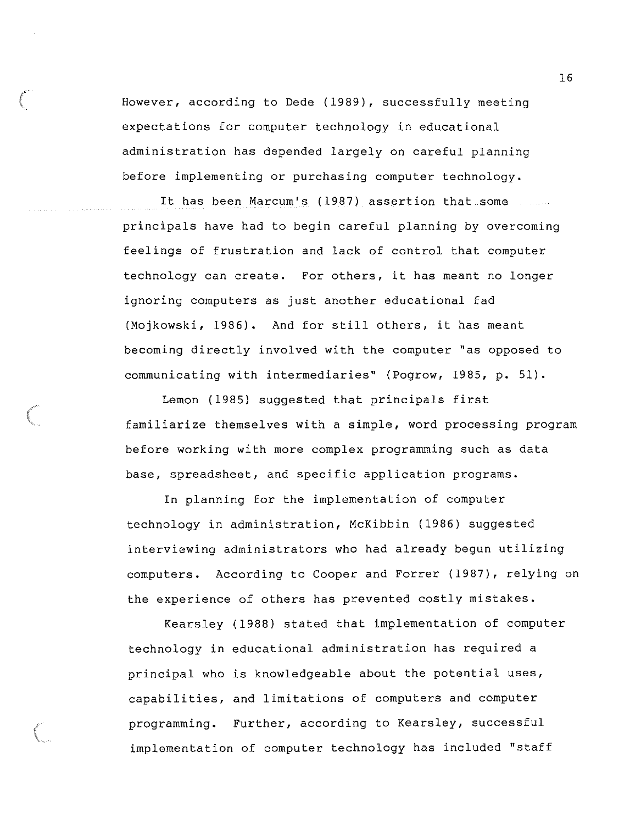However, according to Dede (1989), successfully meeting expectations for computer technology in educational administration has depended largely on careful planning before implementing or purchasing computer technology.

It has been Marcum's (1987) assertion that some principals have had to begin careful planning by overcoming feelings of frustration and lack of control that computer technology can create. For others, it has meant no longer ignoring computers as just another educational fad (Mojkowski, 1986). And for still others, it has meant becoming directly involved with the computer "as opposed to communicating with intermediaries" (Pogrow, 1985, p. 51).

Lemon (1985) suggested that principals first familiarize themselves with a simple, word processing program before working with more complex programming such as data base, spreadsheet, and specific application programs.

In planning for the implementation of computer technology in administration, McKibbin (1986) suggested interviewing administrators who had already begun utilizing computers. According to Cooper and Forrer (1987), relying on the experience of others has prevented costly mistakes.

Kearsley (1988) stated that implementation of computer technology in educational administration has required a principal who is knowledgeable about the potential uses, capabilities, and limitations of computers and computer programming. Further, according to Kearsley, successful implementation of computer technology has included "staff

*{*  \.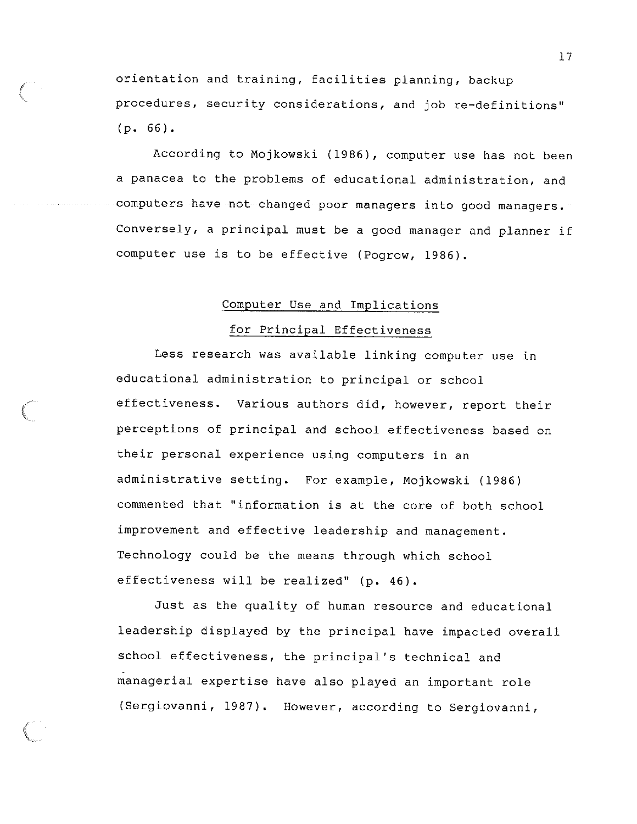orientation and training, facilities planning, backup procedures, security considerations, and job re-definitions'' (p. 66).

 $\big($ 

*(*  \

According to Mojkowski (1986), computer use has not been a panacea to the problems of educational administration, and computers have not changed poor managers into good managers. Conversely, a principal must be a good manager and planner if computer use is to be effective (Pogrow, 1986).

#### Computer Use and Implications

#### for Principal Effectiveness

Less research was available linking computer use in educational administration to principal or school effectiveness. Various authors did, however, report their perceptions of principal and school effectiveness based on their personal experience using computers in an administrative setting. For example, Mojkowski (1986) commented that "information is at the core of both school improvement and effective leadership and management. Technology could be the means through which school effectiveness will be realized" (p. 46).

Just as the quality of human resource and educational leadership displayed by the principal have impacted overall school effectiveness, the principal's technical and - managerial expertise have also played an important role (Sergiovanni, 1987). However, according to Sergiovanni,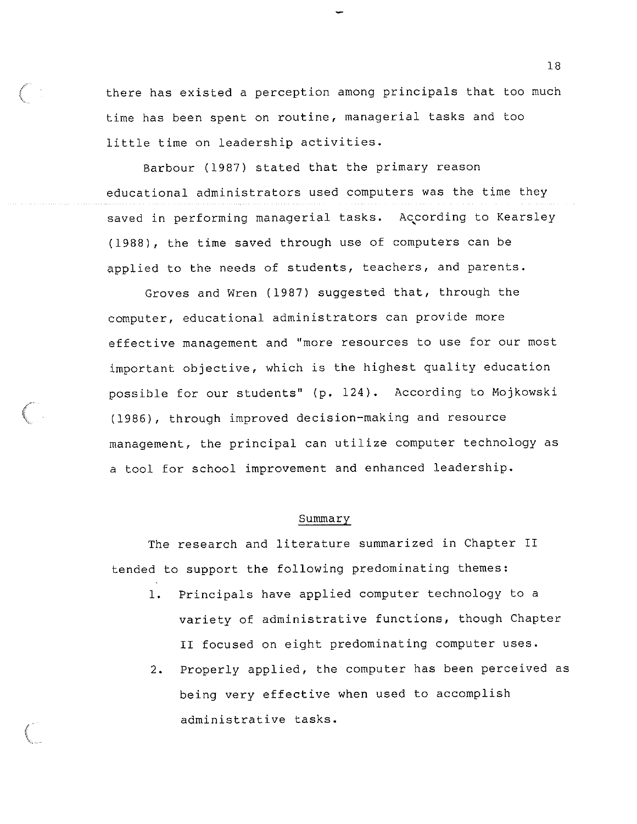there has existed a perception among principals that too much time has been spent on routine, managerial tasks and too little time on leadership activities.

Barbour (1987) stated that the primary reason educational administrators used computers was the time they saved in performing managerial tasks. According to Kearsley ' (1988), the time saved through use of computers can be applied to the needs of students, teachers, and parents.

Groves and Wren (1987) suggested that, through the computer, educational administrators can provide more effective management and "more resources to use for our most important objective, which is the highest quality education possible for our students" (p. 124). According to Mojkowski (1986), through improved decision-making and resource management, the principal can utilize computer technology as a tool for school improvement and enhanced leadership.

#### Summary

The research and literature summarized in Chapter II tended to support the following predominating themes:

 $\Big($ 

- 1. Principals have applied computer technology to a variety of administrative functions, though Chapter II focused on eight predominating computer uses.
- 2. Properly applied, the computer has been perceived as being very effective when used to accomplish administrative tasks.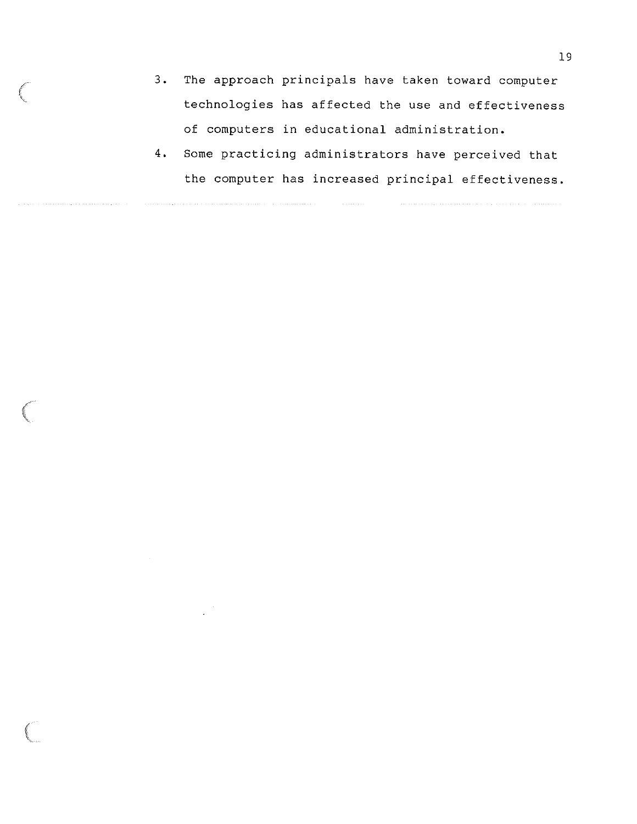3. The approach principals have taken toward computer technologies has affected the use and effectiveness of computers in educational administration.

 $\bigg($ 

(

4. Some practicing administrators have perceived that the computer has increased principal effectiveness.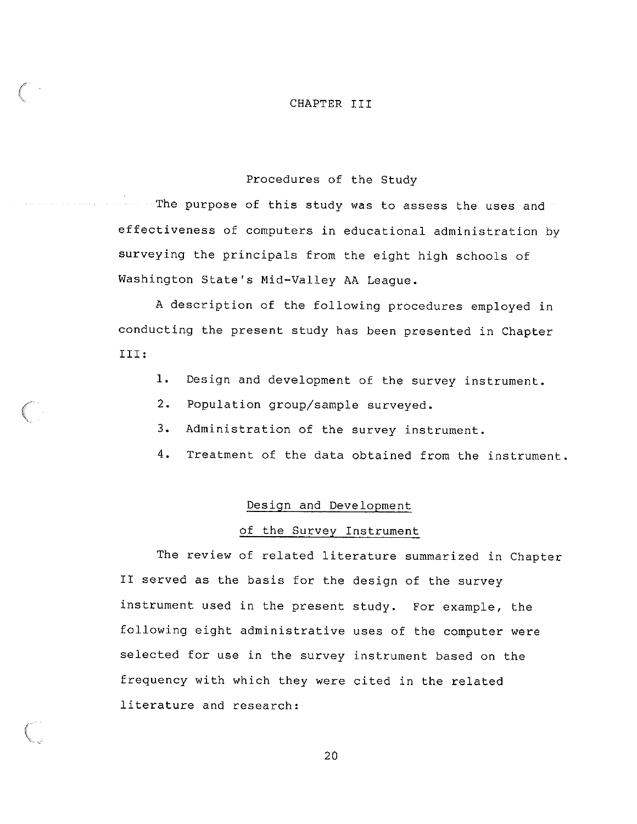#### CHAPTER III

#### Procedures of the Study

The purpose of this study was to assess the uses and  $\blacksquare$ effectiveness of computers in educational administration by surveying the principals from the eight high schools of Washington State's Mid-Valley AA League.

A description of the following procedures employed in conducting the present study has been presented in Chapter III:

- 1. Design and development of the survey instrument.
- 2. Population group/sample surveyed.
- 3. Administration of the survey instrument.
- 4. Treatment of the data obtained from the instrument.

#### Design and Development

#### of the Survey Instrument

The review of related literature summarized in Chapter II served as the basis for the design of the survey instrument used in the present study. For example, the following eight administrative uses of the computer were selected for use in the survey instrument based on the frequency with which they were cited in the related literature and research: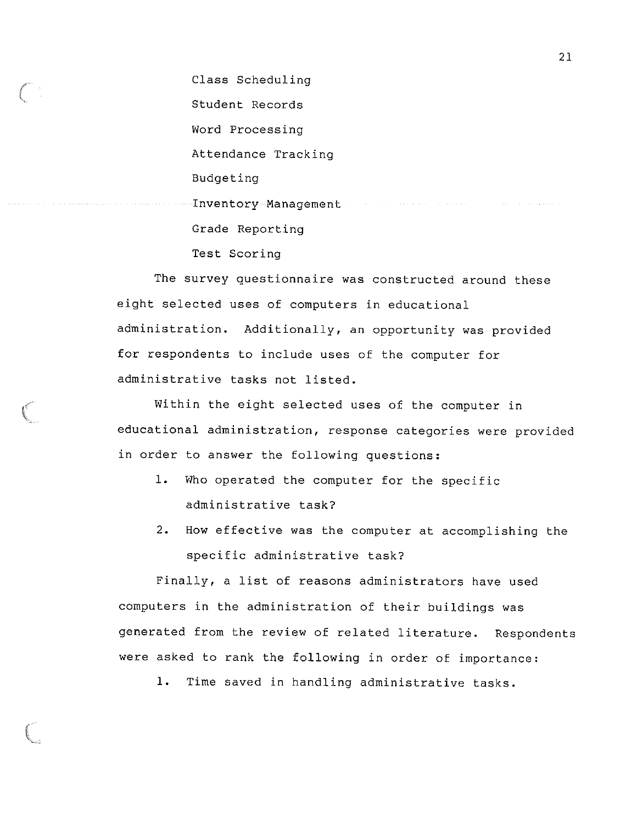Class Scheduling Student Records Word Processing Attendance Tracking Budgeting Inventory Management and the contract of the contract of the contract of the contract of the contract of the contract of the contract of the contract of the contract of the contract of the contract of the contract of the c Grade Reporting Test Scoring

The survey questionnaire was constructed around these eight selected uses of computers in educational administration. Additionally, an opportunity was provided for respondents to include uses of the computer for administrative tasks not listed.

Within the eight selected uses of the computer in educational administration, response categories were provided in order to answer the following questions:

- 1. Who operated the computer for the specific administrative task?
- 2. How effective was the computer at accomplishing the specific administrative task?

Finally, a list of reasons administrators have used computers in the administration of their buildings was generated from the review of related literature. Respondents were asked to rank the following in order of importance:

1. Time saved in handling administrative tasks.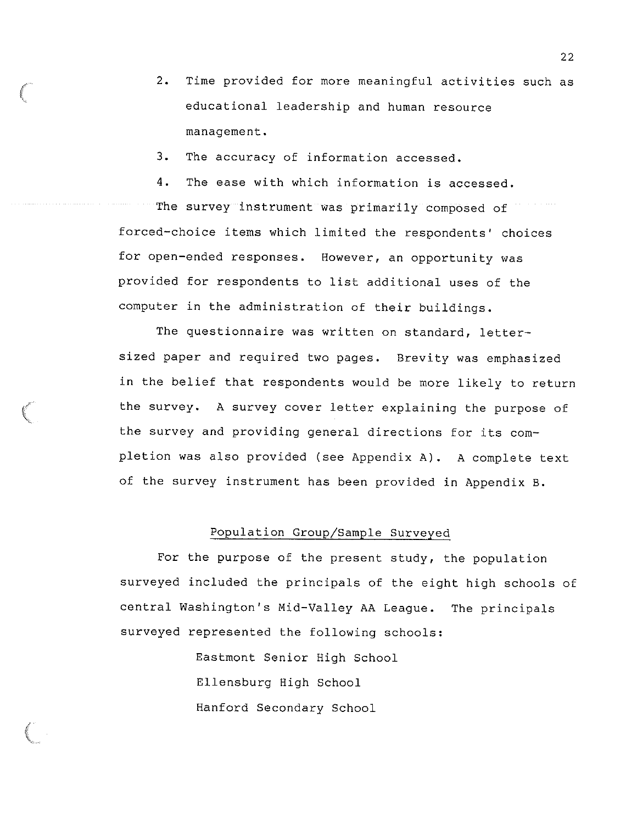2. Time provided for more meaningful activities such as educational leadership and human resource management.

3. The accuracy of information accessed.

4. The ease with which information is accessed. The survey instrument was primarily composed of forced-choice items which limited the respondents' choices for open-ended responses. However, an opportunity was provided for respondents to list additional uses of the computer in the administration of their buildings.

The questionnaire was written on standard, lettersized paper and required two pages. Brevity was emphasized in the belief that respondents would be more likely to return the survey. A survey cover letter explaining the purpose of the survey and providing general directions for its completion was also provided (see Appendix A). A complete text of the survey instrument has been provided in Appendix B.

#### Population Group/Sample Surveyed

For the purpose of the present study, the population surveyed included the principals of the eight high schools of central Washington's Mid-Valley AA League. The principals surveyed represented the following schools:

> Eastmont Senior High School Ellensburg High School Hanford Secondary School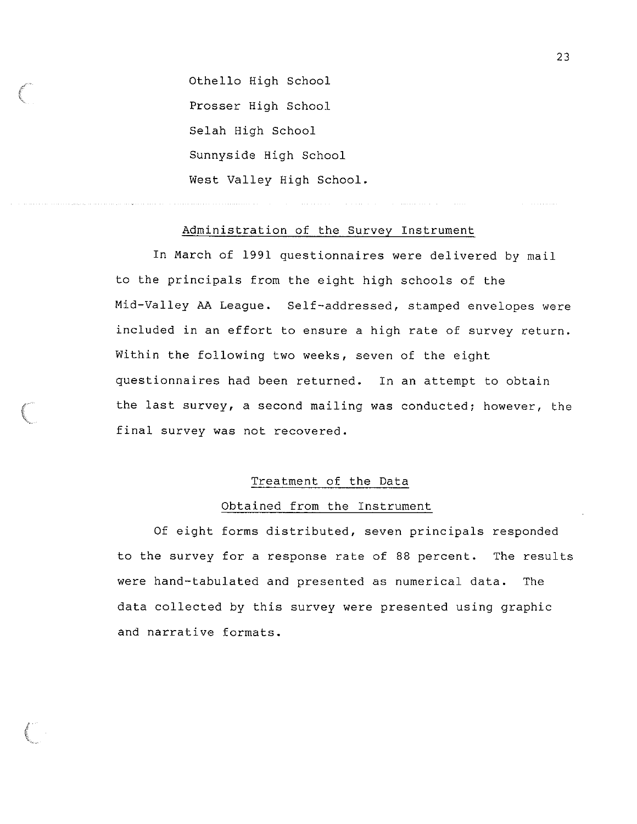Othello High School Prosser High School Selah High School Sunnyside High School West Valley High School.

/" Control

#### Administration of the Survey Instrument

In March of 1991 questionnaires were delivered by mail to the principals from the eight high schools of the Mid-Valley AA League. Self-addressed, stamped envelopes were included in an effort to ensure a high rate of survey return. Within the following two weeks, seven of the eight questionnaires had been returned. In an attempt to obtain the last survey, a second mailing was conducted; however, the final survey was not recovered.

#### Treatment of the Data

#### Obtained from the Instrument

Of eight forms distributed, seven principals responded to the survey for a response rate of 88 percent. The results were hand-tabulated and presented as numerical data. The data collected by this survey were presented using graphic and narrative formats.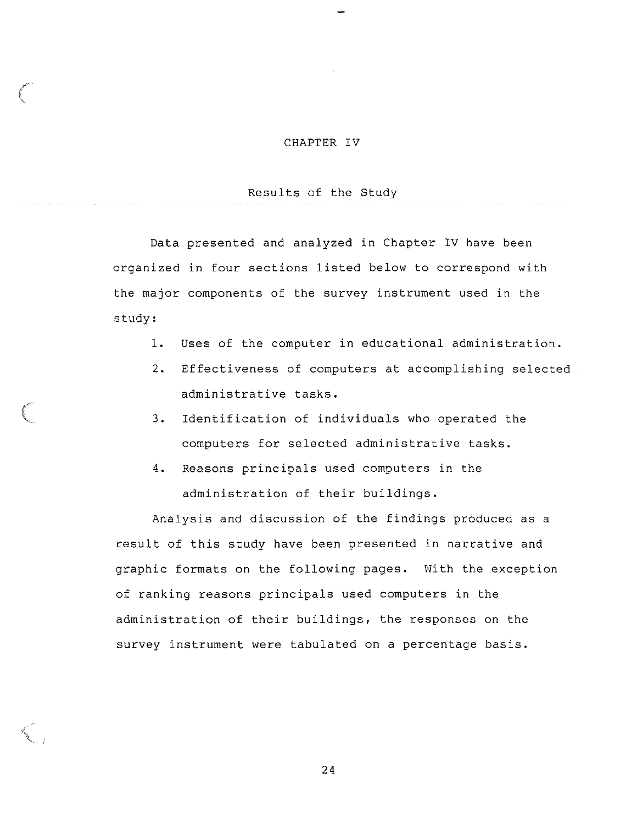#### CHAPTER IV

#### Results of the Study

Data presented and analyzed in Chapter IV have been organized in four sections listed below to correspond with the major components of the survey instrument used in the study:

- 1. Uses of the computer in educational administration.
- 2. Effectiveness of computers at accomplishing selected administrative tasks.
- 3. Identification of individuals who operated the computers for selected administrative tasks.
- 4. Reasons principals used computers in the administration of their buildings.

Analysis and discussion of the findings produced as a result of this study have been presented in narrative and graphic formats on the following pages. With the exception of ranking reasons principals used computers in the administration of their buildings, the responses on the survey instrument were tabulated on a percentage basis.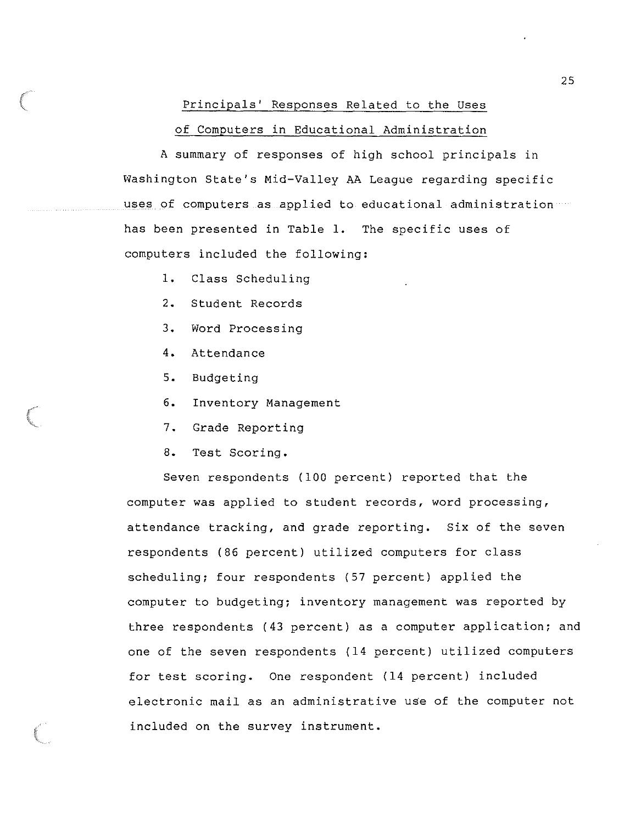#### Principals' Responses Related to the Uses

#### of Computers in Educational Administration

A summary of responses of high school principals in Washington State's Mid-Valley AA League regarding specific uses of computers as applied to educational administration has been presented in Table 1. The specific uses of computers included the following:

- 1. Class Scheduling
- 2. Student Records
- 3. Word Processing
- 4. Attendance
- 5. Budgeting
- 6. Inventory Management
- 7. Grade Reporting
- 8. Test Scoring.

Seven respondents (100 percent) reported that the computer was applied to student records, word processing, attendance tracking, and grade reporting. Six of the seven respondents (86 percent) utilized computers for class scheduling; four respondents (57 percent) applied the computer to budgeting; inventory management was reported by three respondents (43 percent) as a computer application; and one of the seven respondents (14 percent) utilized computers for test scoring. One respondent (14 percent) included electronic mail as an administrative use of the computer not included on the survey instrument.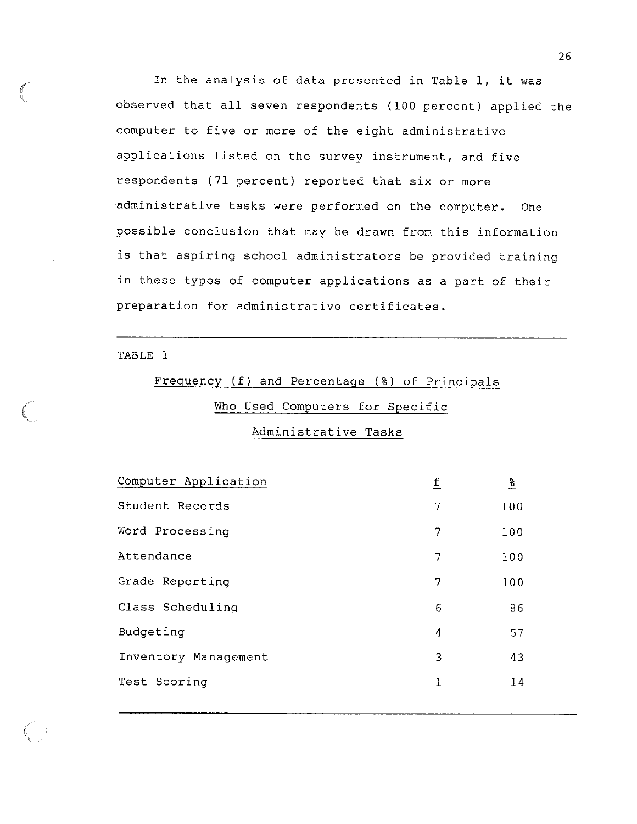In the analysis of data presented in Table 1, it was observed that all seven respondents (100 percent) applied the computer to five or more of the eight administrative applications listed on the survey instrument, and five respondents (71 percent) reported that six or more administrative tasks were performed on the computer. One possible conclusion that may be drawn from this information is that aspiring school administrators be provided training in these types of computer applications as a part of their preparation for administrative certificates.

#### TABLE 1

# Frequency (f) and Percentage (%) of Principals

### Who Used Computers for Specific

#### Administrative Tasks

| Computer Application | f | $\frac{8}{6}$ |
|----------------------|---|---------------|
| Student Records      | 7 | 100           |
| Word Processing      | 7 | 100           |
| Attendance           | 7 | 100           |
| Grade Reporting      | 7 | 100           |
| Class Scheduling     | 6 | 86            |
| Budgeting            | 4 | 57            |
| Inventory Management | 3 | 43            |
| Test Scoring         | ı | 14            |
|                      |   |               |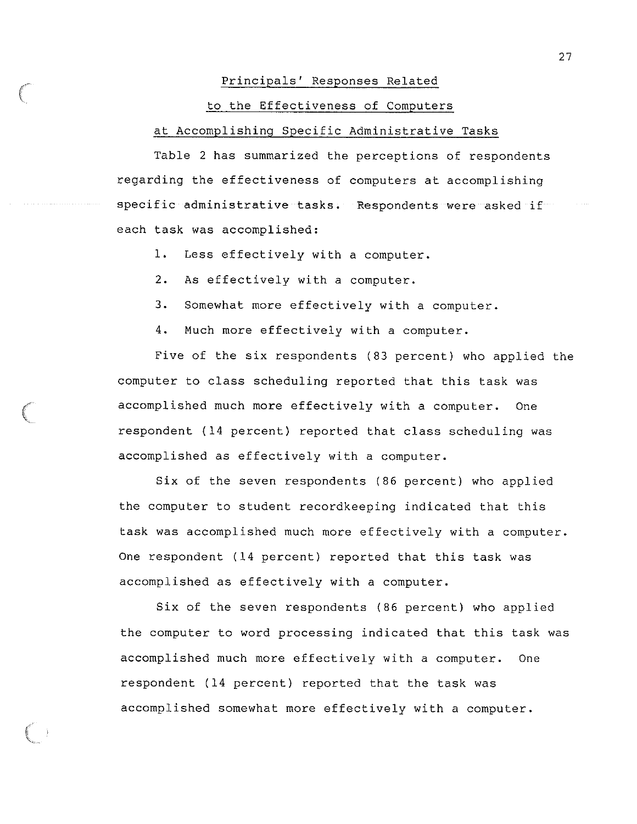#### Principals' Responses Related

#### to the Effectiveness of Computers

#### at Accomplishing Specific Administrative Tasks

Table 2 has summarized the perceptions of respondents regarding the effectiveness of computers at accomplishing specific administrative tasks. Respondents were asked if each task was accomplished:

1. Less effectively with a computer.

2. As effectively with a computer.

3. Somewhat more effectively with a computer.

4. Much more effectively with a computer.

Five of the six respondents (83 percent) who applied the computer to class scheduling reported that this task was accomplished much more effectively with a computer. One respondent (14 percent) reported that class scheduling was accomplished as effectively with a computer.

Six of the seven respondents (86 percent) who applied the computer to student recordkeeping indicated that this task was accomplished much more effectively with a computer. One respondent (14 percent) reported that this task was accomplished as effectively with a computer.

Six of the seven respondents (86 percent) who applied the computer to word processing indicated that this task was accomplished much more effectively with a computer. One respondent (14 percent) reported that the task was accomplished somewhat more effectively with a computer.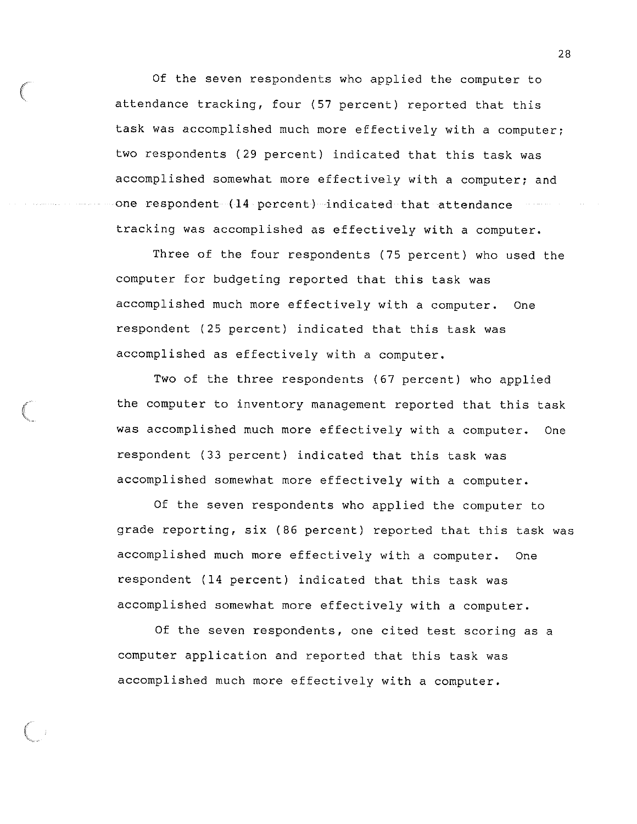Of the seven respondents who applied the computer to attendance tracking, four (57 percent) reported that this task was accomplished much more effectively with a computer; two respondents (29 percent) indicated that this task was accomplished somewhat more effectively with a computer; and one respondent (14 percent) indicated that attendance tracking was accomplished as effectively with a computer.

Three of the four respondents (75 percent) who used the computer for budgeting reported that this task was accomplished much more effectively with a computer. One respondent (25 percent) indicated that this task was accomplished as effectively with a computer.

Two of the three respondents (67 percent) who applied the computer to inventory management reported that this task was accomplished much more effectively with a computer. One respondent (33 percent) indicated that this task was accomplished somewhat more effectively with a computer.

Of the seven respondents who applied the computer to grade reporting, six (86 percent) reported that this task was accomplished much more effectively with a computer. One respondent (14 percent) indicated that this task was accomplished somewhat more effectively with a computer.

Of the seven respondents, one cited test scoring as a computer application and reported that this task was accomplished much more effectively with a computer.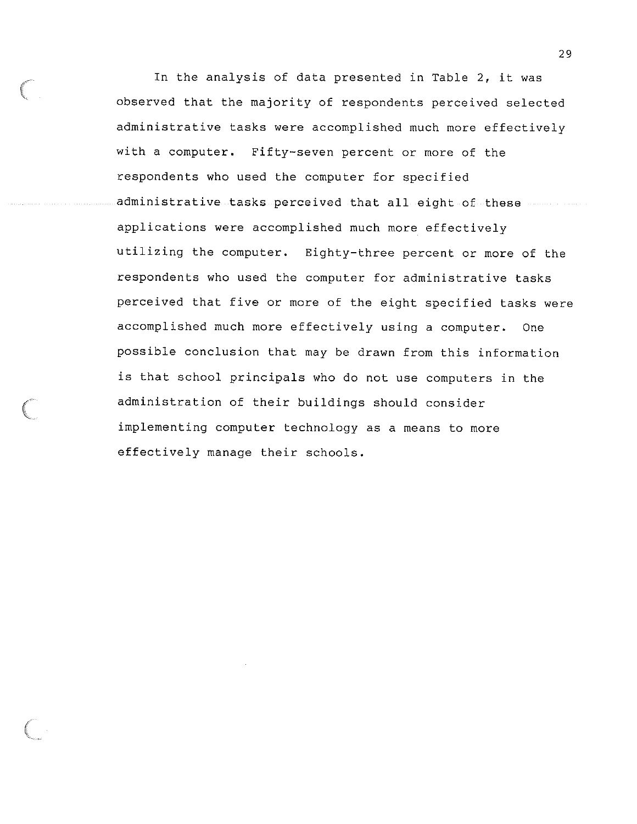In the analysis of data presented in Table 2, it was observed that the majority of respondents perceived selected administrative tasks were accomplished much more effectively with a computer. Fifty-seven percent or more of the respondents who used the computer for specified administrative tasks perceived that all eight of these applications were accomplished much more effectively utilizing the computer. Eighty-three percent or more of the respondents who used the computer for administrative tasks perceived that five or more of the eight specified tasks were accomplished much more effectively using a computer. One possible conclusion that may be drawn from this information is that school principals who do not use computers in the administration of their buildings should consider implementing computer technology as a means to more effectively manage their schools.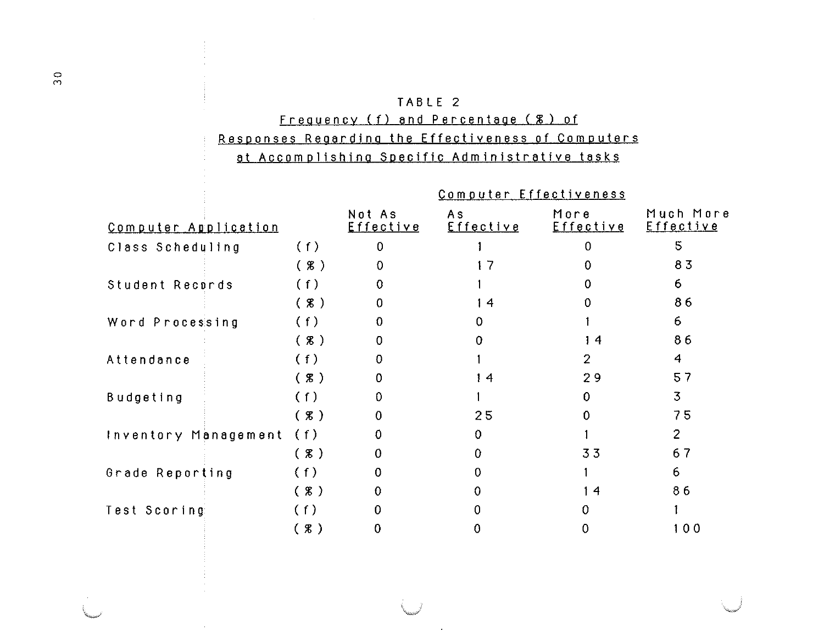### TABLE 2 Frequency (f) and Percentage ( % ) of Responses Regarding the Effectiveness of Computers

### at Accomplishing Specific Administrative tasks

|                      |        |                            | Computer Effectiveness |                   |                               |
|----------------------|--------|----------------------------|------------------------|-------------------|-------------------------------|
| Computer Application |        | Not As<br><u>Effective</u> | A s<br>Effective       | More<br>Effective | Much More<br><u>Effective</u> |
| Class Scheduling     | (f)    | $\mathbf 0$                |                        | 0                 | 5                             |
|                      | (8)    | $\Omega$                   | 17                     |                   | 83                            |
| Student Records      | (f)    | 0                          |                        |                   | 6                             |
|                      | $(* )$ | $\Omega$                   | 14                     |                   | 86                            |
| Word Processing      | (f)    | $\Omega$                   | 0                      |                   | 6                             |
|                      | (8)    | $\Omega$                   | 0                      | 14                | 86                            |
| Attendance           | (f)    | $\Omega$                   |                        | $\overline{2}$    | 4                             |
|                      | $(* )$ | 0                          | 14                     | 29                | 57                            |
| Budgeting            | (f)    | 0                          |                        | $\Omega$          | 3                             |
|                      | $(*)$  | $\theta$                   | 25                     | $\Omega$          | 75                            |
| Inventory Management | (f)    | 0.                         | $\mathbf 0$            |                   | $\overline{2}$                |
|                      | $(* )$ | $\Omega$                   | $\Omega$               | 33                | 67                            |
| Grade Reporting      | (f)    | $\mathbf 0$                | $\mathbf 0$            |                   | 6                             |
|                      | $(*)$  | $\mathbf{0}$               | $\mathbf{0}$           | 14                | 86                            |
| Test Scoring:        | (f)    | 0                          | 0                      | $\Omega$          |                               |
|                      | (8)    | 0                          | 0                      | 0                 | 100                           |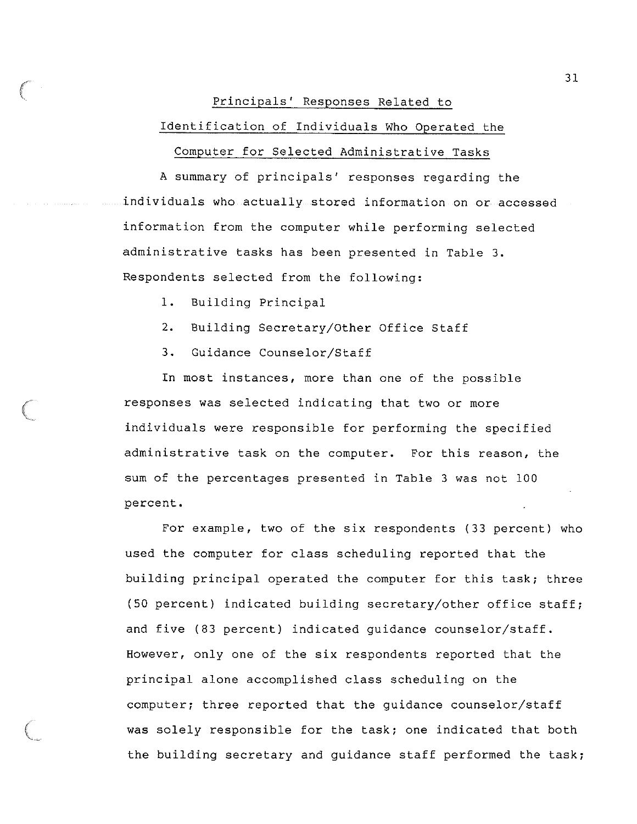#### Principals' Responses Related to

#### Identification of Individuals Who Operated the

#### Computer for Selected Administrative Tasks

A summary of principals' responses regarding the individuals who actually stored information on or accessed information from the computer while performing selected administrative tasks has been presented in Table 3. Respondents selected from the following:

- 1. Building Principal
- 2. Building Secretary/Other Office Staff
- 3. Guidance Counselor/Staff

In most instances, more than one of the possible responses was selected indicating that two or more individuals were responsible for performing the specified administrative task on the computer. For this reason, the sum of the percentages presented in Table 3 was not 100 percent.

For example, two of the six respondents (33 percent) who used the computer for class scheduling reported that the building principal operated the computer for this task; three (50 percent) indicated building secretary/other office staff; and five (83 percent) indicated guidance counselor/staff. However, only one of the six respondents reported that the principal alone accomplished class scheduling on the computer; three reported that the guidance counselor/staff was solely responsible for the task; one indicated that both the building secretary and guidance staff performed the task;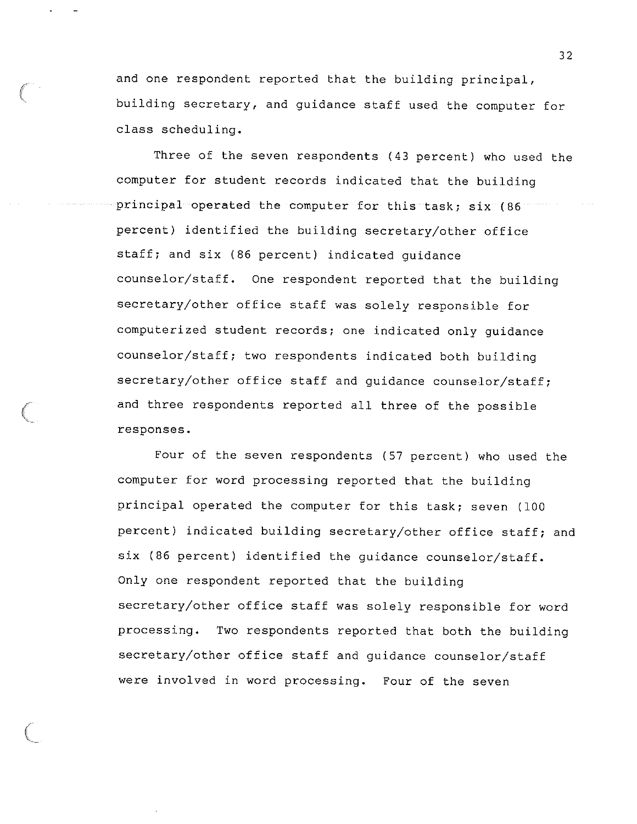and one respondent reported that the building principal, building secretary, and guidance staff used the computer for class scheduling.

Three of the seven respondents (43 percent) who used the computer for student records indicated that the building principal operated the computer for this task; six (86) percent) identified the building secretary/other office staff; and six (86 percent) indicated guidance counselor/staff. One respondent reported that the building secretary/other office staff was solely responsible for computerized student records; one indicated only guidance counselor/staff; two respondents indicated both building secretary/other office staff and guidance counselor/staff; and three respondents reported all three of the possible responses.

Four of the seven respondents (57 percent) who used the computer for word processing reported that the building principal operated the computer for this task; seven (100 percent) indicated building secretary/other office staff; and six (86 percent) identified the guidance counselor/staff. Only one respondent reported that the building secretary/other office staff was solely responsible for word processing. Two respondents reported that both the building secretary/other office staff and guidance counselor/staff were involved in word processing. Four of the seven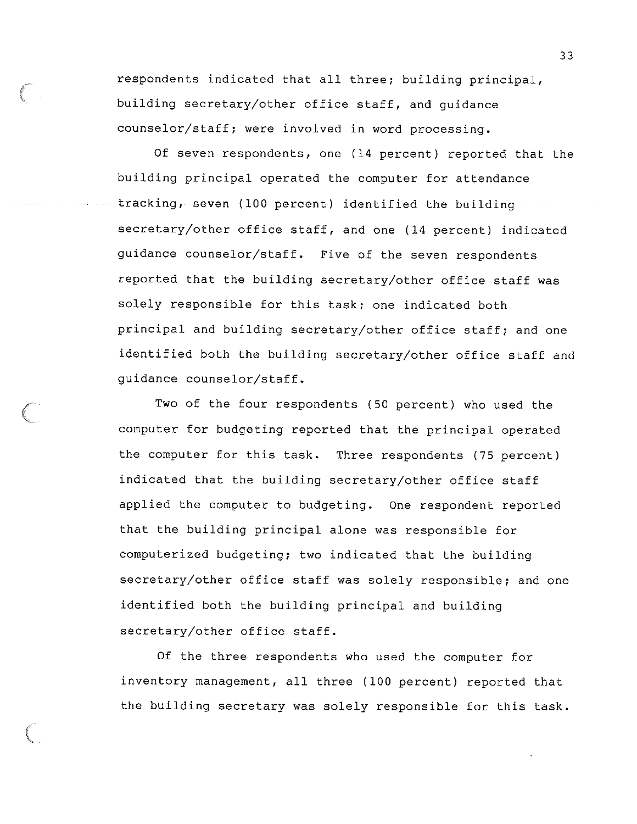respondents indicated that all three; building principal, building secretary/other office staff, and guidance counselor/staff; were involved in word processing.

Of seven respondents, one (14 percent) reported that the building principal operated the computer for attendance tracking, seven (100 percent) identified the building secretary/other office staff, and one (14 percent) indicated guidance counselor/staff. Five of the seven respondents reported that the building secretary/other office staff was solely responsible for this task; one indicated both principal and building secretary/other office staff; and one identified both the building secretary/other office staff and guidance counselor/staff.

Two of the four respondents (50 percent) who used the computer for budgeting reported that the principal operated the computer for this task. Three respondents (75 percent) indicated that the building secretary/other office staff applied the computer to budgeting. One respondent reported that the building principal alone was responsible for computerized budgeting; two indicated that the building secretary/other office staff was solely responsible; and one identified both the building principal and building secretary/other office staff.

Of the three respondents who used the computer for inventory management, all three (100 percent) reported that the building secretary was solely responsible for this task.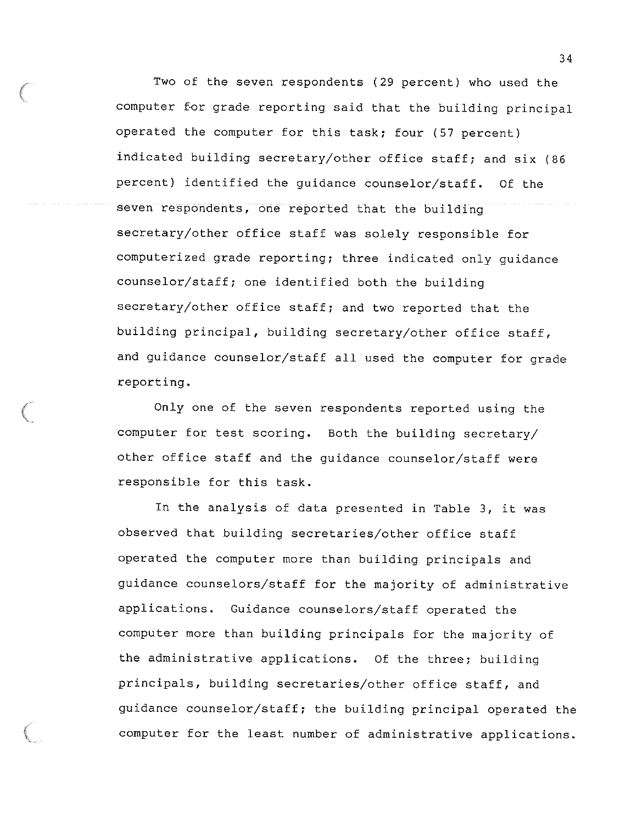Two of the seven respondents (29 percent) who used the computer for grade reporting said that the building principal operated the computer for this task; four (57 percent) indicated building secretary/other office staff; and six (86 percent) identified the guidance counselor/staff. Of the seven respondents, one reported that the building secretary/other office staff was solely responsible for computerized grade reporting; three indicated only guidance counselor/staff; one identified both the building secretary/other office staff; and two reported that the building principal, building secretary/other office staff, and guidance counselor/staff all used the computer for grade reporting.

*(* 

Only one of the seven respondents reported using the computer for test scoring. Both the building secretary/ other office staff and the guidance counselor/staff were responsible for this task.

In the analysis of data presented in Table 3, it was observed that building secretaries/other office staff operated the computer more than building principals and guidance counselors/staff for the majority of administrative applications. Guidance counselors/staff operated the computer more than building principals for the majority of the administrative applications. Of the three; building principals, building secretaries/other office staff, and guidance counselor/staff; the building principal operated the computer for the least number of administrative applications.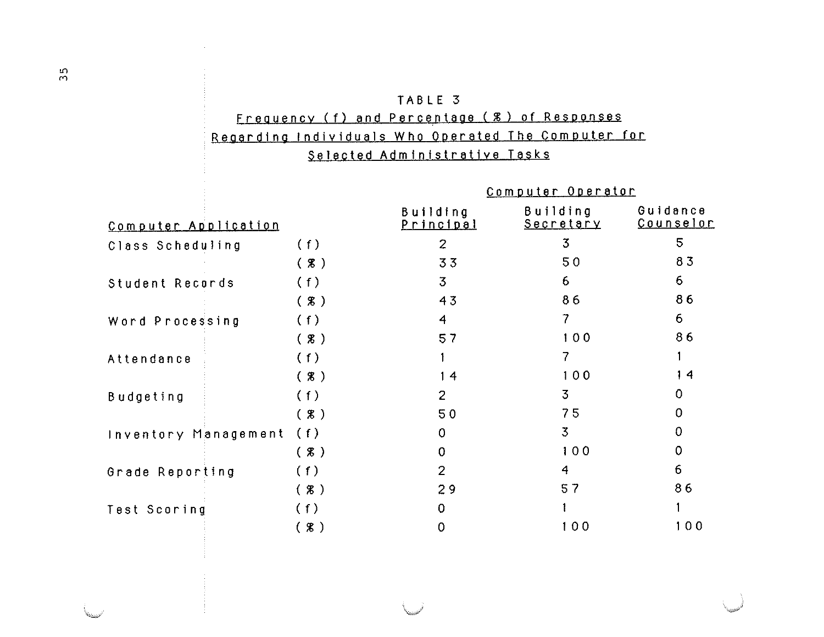### TABLE 3 Frequency (f) and Percentage (%) of Responses Regarding Individuals Who Operated The Computer for Selected Administrative Tasks

|                      |                   |                                   | Computer Operator            |                              |
|----------------------|-------------------|-----------------------------------|------------------------------|------------------------------|
| Computer Application |                   | <b>Building</b><br><u>incipal</u> | <b>Building</b><br>Secretary | Guidance<br><u>Counselor</u> |
| Class Scheduling     | (f)               | $\overline{2}$                    | $\overline{3}$               | 5                            |
|                      | (3)               | 33                                | 50                           | 83                           |
| Student Records      | (f)               | 3                                 | 6                            | 6                            |
|                      | (x)               | 43                                | 86                           | 86                           |
| Word Processing      | (f)               | $\overline{4}$                    | 7                            | 6                            |
|                      | $(X, \mathbb{R})$ | 57                                | 100                          | 86                           |
| Attendance           | (f)               |                                   | 7                            |                              |
|                      | $(* )$            | 14                                | 100                          | 14                           |
| <b>Budgeting</b>     | (f)               | 2                                 | $\overline{3}$               | 0                            |
|                      | (X)               | 50                                | 75                           | 0                            |
| Inventory Management | (1)               | $\mathbf 0$                       | $\overline{3}$               | 0                            |
|                      | (8)               | $\mathbf{0}$                      | 100                          | 0                            |
| Grade Reporting      | (f)               | $\overline{2}$                    | $\overline{4}$               | 6                            |
|                      | $(*)$             | 29                                | 57                           | 86                           |
| Test Scoring         | (f)               | $\mathbf 0$                       |                              |                              |
|                      | (X)               | 0                                 | 100                          | 100                          |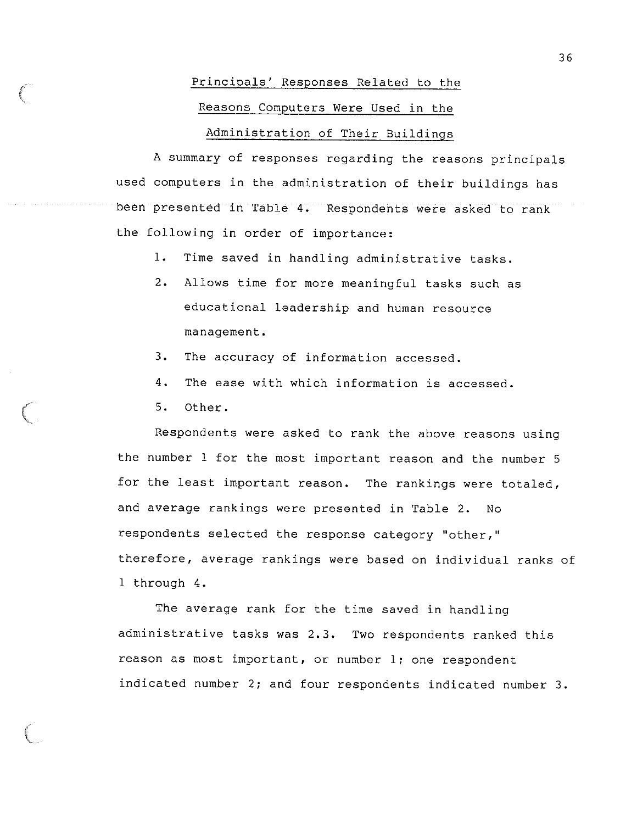#### Principals' Responses Related to the

#### Reasons Computers Were Used in the

#### Administration of Their Buildings

A summary of responses regarding the reasons principals used computers in the administration of their buildings has been presented in Table 4. Respondents were asked to rank the following in order of importance:

- 1. Time saved in handling administrative tasks.
- 2. Allows time for more meaningful tasks such as educational leadership and human resource management.
- 3. The accuracy of information accessed.
- 4. The ease with which information is accessed.
- 5. Other.

Respondents were asked to rank the above reasons using the number 1 for the most important reason and the number 5 for the least important reason. The rankings were totaled, and average rankings were presented in Table 2. No respondents selected the response category "other,'' therefore, average rankings were based on individual ranks of 1 through 4.

The average rank for the time saved in handling administrative tasks was 2.3. Two respondents ranked this reason as most important, or number l; one respondent indicated number 2; and four respondents indicated number 3.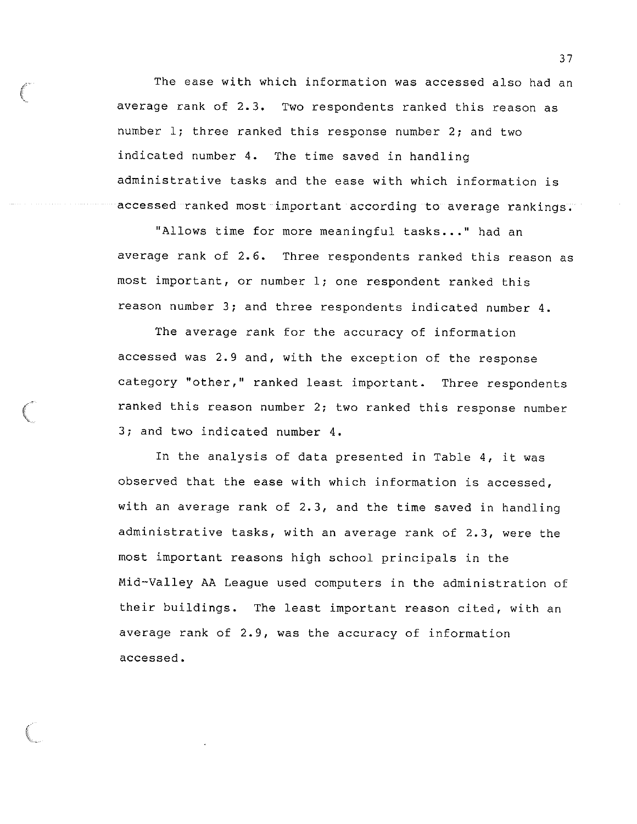The ease with which information was accessed also had an average rank of 2.3. Two respondents ranked this reason as number l; three ranked this response number 2; and two indicated number 4. The time saved in handling administrative tasks and the ease with which information is accessed ranked most important according to average rankings.

"Allows time for more meaningful tasks..." had an average rank of 2.6. Three respondents ranked this reason as most important, or number l; one respondent ranked this reason number 3; and three respondents indicated number 4.

The average rank for the accuracy of information accessed was 2.9 and, with the exception of the response category "other," ranked least important. Three respondents ranked this reason number 2; two ranked this response number 3; and two indicated number 4.

In the analysis of data presented in Table 4, it was observed that the ease with which information is accessed, with an average rank of 2.3, and the time saved in handling administrative tasks, with an average rank of 2.3, were the most important reasons high school principals in the Mid-Valley AA League used computers in the administration of their buildings. The least important reason cited, with an average rank of 2.9, was the accuracy of information accessed.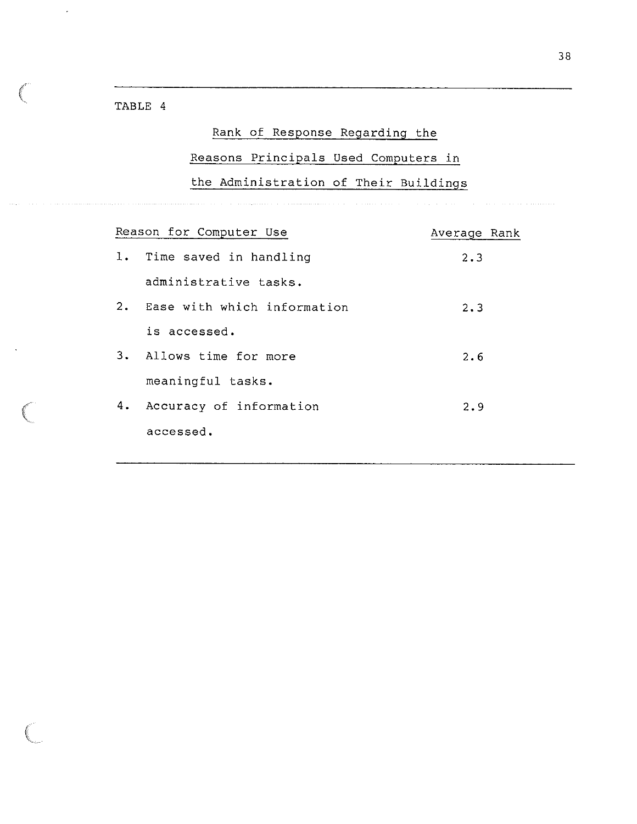TABLE 4

ŗ.

### Rank of Response Regarding the

Reasons Principals Used Computers in

the Administration of Their Buildings

|    | Reason for Computer Use        | Average Rank |
|----|--------------------------------|--------------|
|    | 1. Time saved in handling      | $2 \cdot 3$  |
|    | administrative tasks.          |              |
|    | 2. Ease with which information | $2 \cdot 3$  |
|    | is accessed.                   |              |
|    | 3. Allows time for more        | 2.6          |
|    | meaningful tasks.              |              |
| 4. | Accuracy of information        | 2.9          |
|    | accessed.                      |              |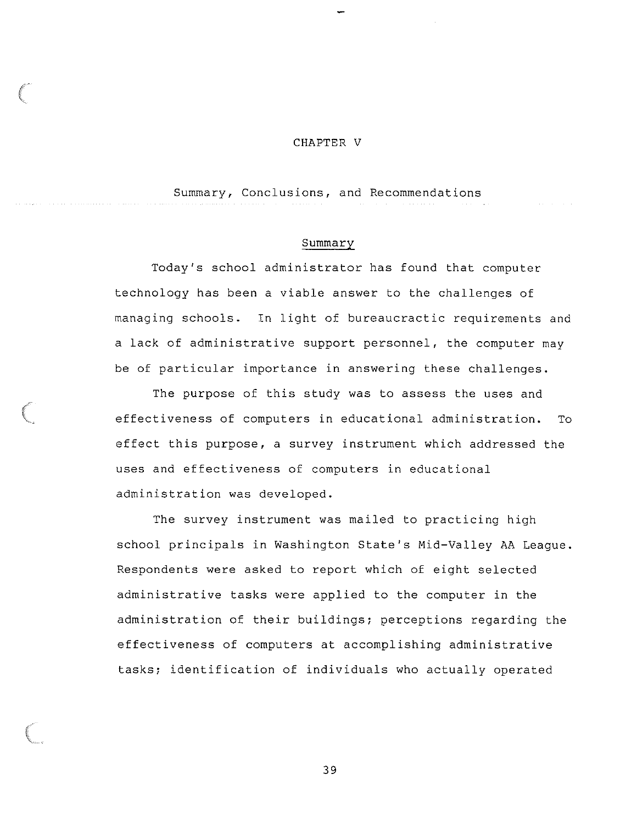#### CHAPTER V

Summary, Conclusions, and Recommendations

#### Summary

Today's school administrator has found that computer technology has been a viable answer to the challenges of managing schools. In light of bureaucractic requirements and a lack of administrative support personnel, the computer may be of particular importance in answering these challenges.

The purpose of this study was to assess the uses and effectiveness of computers in educational administration. To effect this purpose, a survey instrument which addressed the uses and effectiveness of computers in educational administration was developed.

The survey instrument was mailed to practicing high school principals in Washington State's Mid-Valley AA League. Respondents were asked to report which of eight selected administrative tasks were applied to the computer in the administration of their buildings; perceptions regarding the effectiveness of computers at accomplishing administrative tasks; identification of individuals who actually operated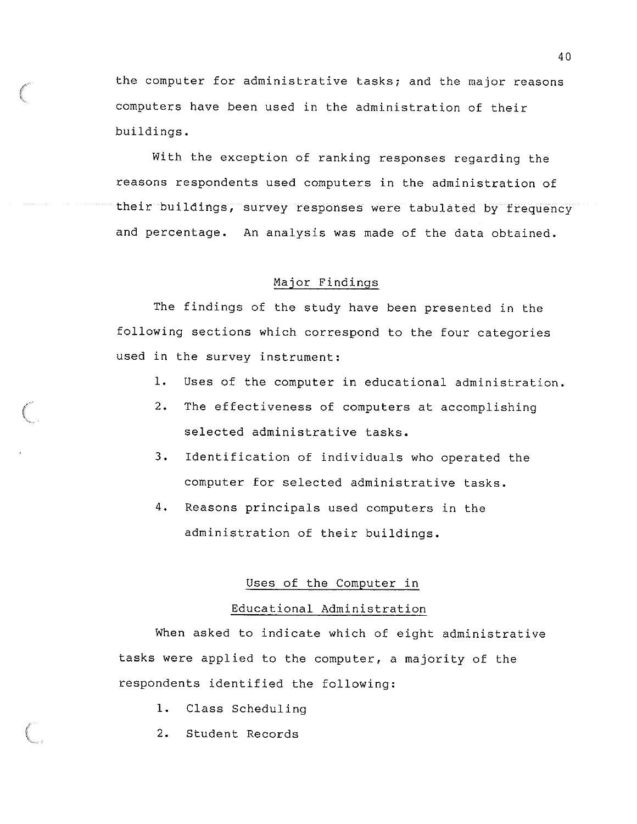the computer for administrative tasks; and the major reasons computers have been used in the administration of their buildings.

With the exception of ranking responses regarding the reasons respondents used computers in the administration of their buildings, survey responses were tabulated by frequency and percentage. An analysis was made of the data obtained.

#### Major Findings

The findings of the study have been presented in the following sections which correspond to the four categories used in the survey instrument:

- 1. Uses of the computer in educational administration.
- 2. The effectiveness of computers at accomplishing selected administrative tasks.
- 3. Identification of individuals who operated the computer for selected administrative tasks.
- 4. Reasons principals used computers in the administration of their buildings.

#### Uses of the Computer in

#### Educational Administration

When asked to indicate which of eight administrative tasks were applied to the computer, a majority of the respondents identified the following:

- 1. Class Scheduling
- 2. Student Records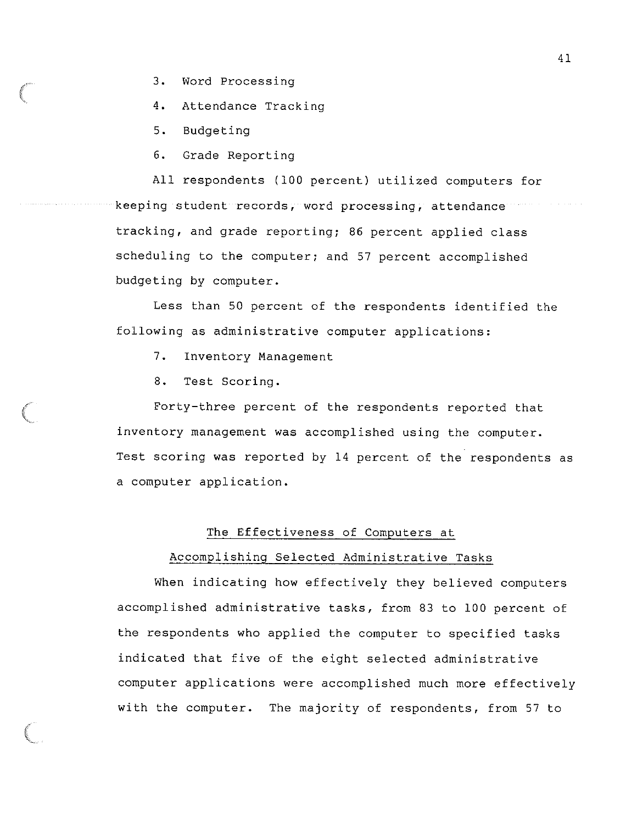- 3. Word Processing
- 4. Attendance Tracking
- 5. Budgeting
- 6. Grade Reporting

All respondents (100 percent) utilized computers for keeping student records, word processing, attendance tracking, and grade reporting; 86 percent applied class scheduling to the computer; and 57 percent accomplished budgeting by computer.

Less than 50 percent of the respondents identified the following as administrative computer applications:

- 7. Inventory Management
- 8. Test Scoring.

Forty-three percent of the respondents reported that inventory management was accomplished using the computer. Test scoring was reported by 14 percent of the respondents as a computer application.

#### The Effectiveness of Computers at

#### Accomplishing Selected Administrative Tasks

When indicating how effectively they believed computers accomplished administrative tasks, from 83 to 100 percent of the respondents who applied the computer to specified tasks indicated that five of the eight selected administrative computer applications were accomplished much more effectively with the computer. The majority of respondents, from 57 to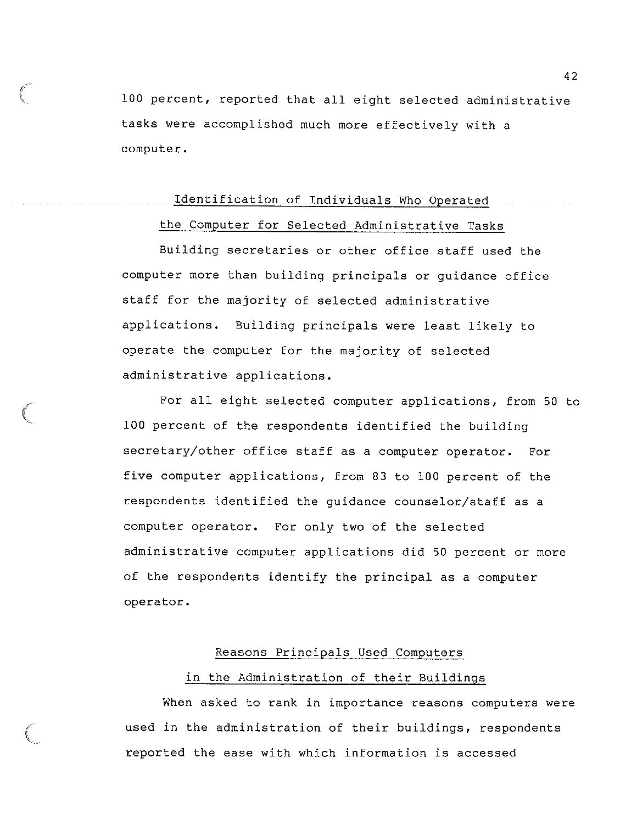100 percent, reported that all eight selected administrative tasks were accomplished much more effectively with a computer.

#### Identification of Individuals Who Operated

#### the Computer for Selected Administrative Tasks

Building secretaries or other office staff used the computer more than building principals or guidance office staff for the majority of selected administrative applications. Building principals were least likely to operate the computer for the majority of selected administrative applications.

For all eight selected computer applications, from 50 to 100 percent of the respondents identified the building secretary/other office staff as a computer operator. For five computer applications, from 83 to 100 percent of the respondents identified the guidance counselor/staff as a computer operator. For only two of the selected administrative computer applications did 50 percent or more of the respondents identify the principal as a computer operator.

#### Reasons Principals Used Computers

#### in the Administration of their Buildings

When asked to rank in importance reasons computers were used in the administration of their buildings, respondents reported the ease with which information is accessed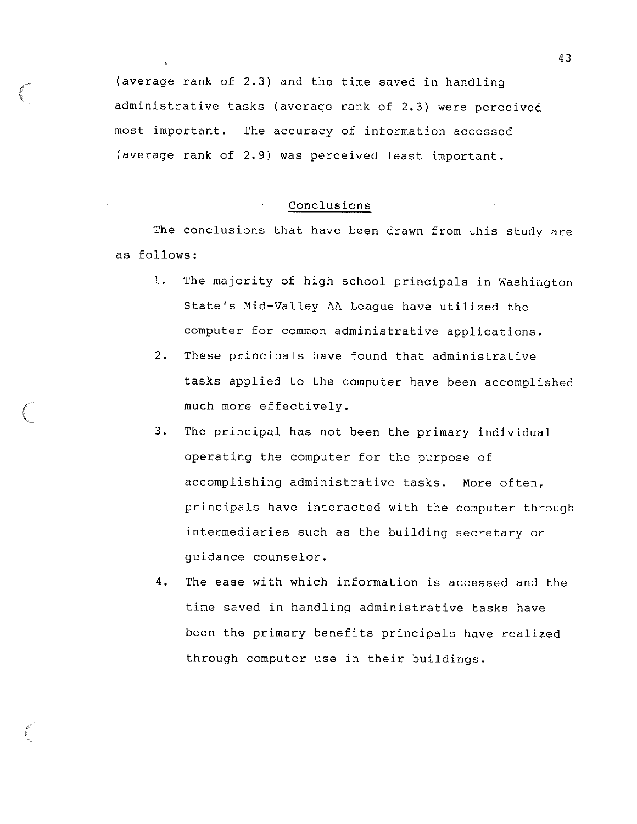(average rank of 2.3) and the time saved in handling administrative tasks (average rank of 2.3) were perceived most important. The accuracy of information accessed (average rank of 2.9) was perceived least important.

Conclusions

The conclusions that have been drawn from this study are as follows:

- 1. The majority of high school principals in Washington State's Mid-Valley AA League have utilized the computer for common administrative applications.
- 2. These principals have found that administrative tasks applied to the computer have been accomplished much more effectively.
- 3. The principal has not been the primary individual operating the computer for the purpose of accomplishing administrative tasks. More often, principals have interacted with the computer through intermediaries such as the building secretary or guidance counselor.
- 4. The ease with which information is accessed and the time saved in handling administrative tasks have been the primary benefits principals have realized through computer use in their buildings.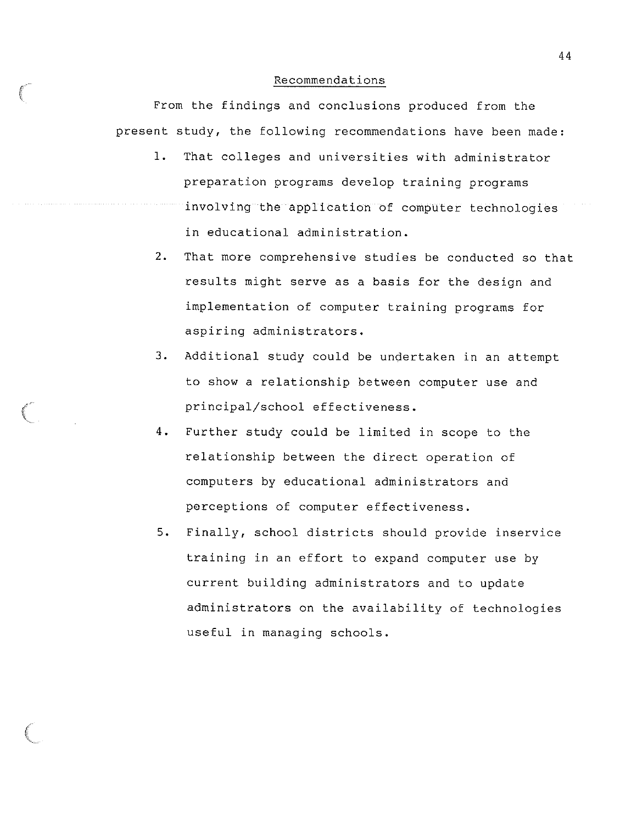#### Recommendations

*{*  '

From the findings and conclusions produced from the present study, the following recommendations have been made:

- 1. That colleges and universities with administrator preparation programs develop training programs involving the application of computer technologies in educational administration.
- 2. That more comprehensive studies be conducted so that results might serve as a basis for the design and implementation of computer training programs for aspiring administrators.
- 3. Additional study could be undertaken in an attempt to show a relationship between computer use and principal/school effectiveness.
- 4. Further study could be limited in scope to the relationship between the direct operation of computers by educational administrators and perceptions of computer effectiveness.
- 5. Finally, school districts should provide inservice training in an effort to expand computer use by current building administrators and to update administrators on the availability of technologies useful in managing schools.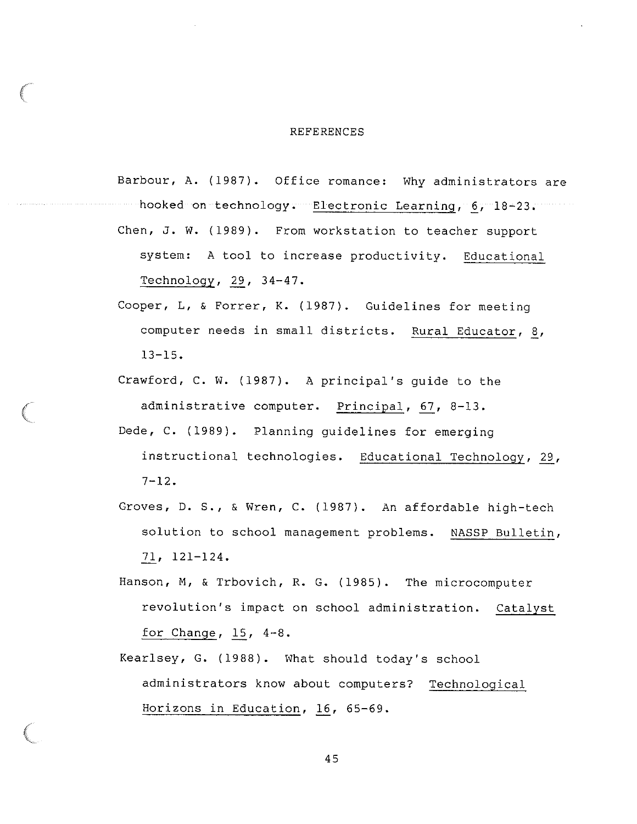#### REFERENCES

Barbour, A. (1987). Office romance: Why administrators are hooked on technology. Electronic Learning, 6, 18-23. Chen, J. W. (1989). From workstation to teacher support system: A tool to increase productivity. Educational Technology,  $29$ ,  $34-47$ .

- Cooper, L, & Forrer, K. (1987). Guidelines for meeting computer needs in small districts. Rural Educator, 8, 13-15.
- Crawford, C. W. (1987). A principal's guide to the administrative computer. Principal, 67, 8-13.
- Dede, C. (1989). Planning guidelines for emerging instructional technologies. Educational Technology, 29,  $7 - 12.$
- Groves, D. S., & Wren, C. (1987). An affordable high-tech solution to school management problems. NASSP Bulletin, ..Zl\_, 121-124.
- Hanson, M, & Trbovich, R. G. (1985). The microcomputer revolution's impact on school administration. Catalyst for Change, *12\_,* 4-8.
- Kearlsey, G. (1988). What should today's school administrators know about computers? Technological Horizons in Education, 16, 65-69.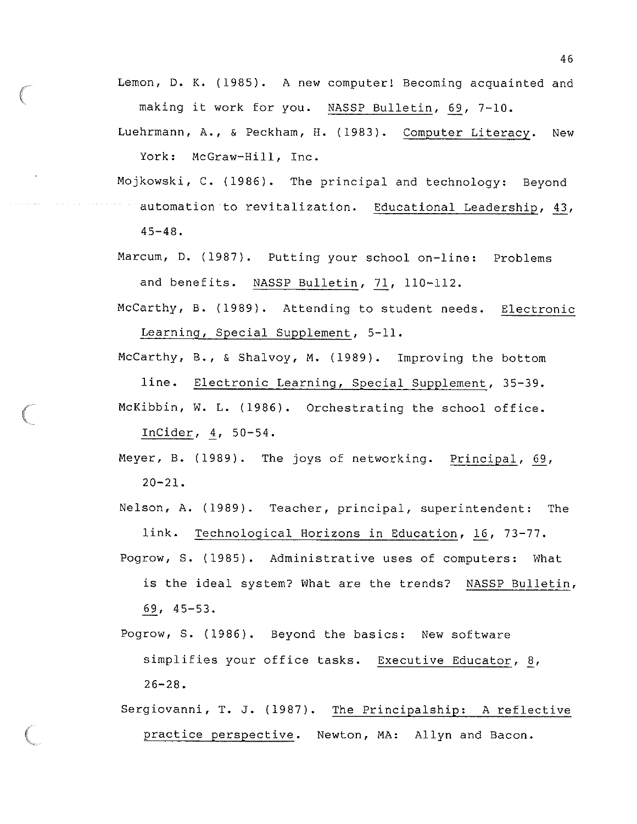Lemon, D. K. (1985). A new computer! Becoming acquainted and making it work for you. NASSP Bulletin, 69, 7-10.

Luehrmann, A., & Peckham, H. (1983). Computer Literacy. New York: McGraw-Hill, Inc.

Mojkowski, C. (1986). The principal and technology: Beyond automation to revitalization. Educational Leadership, 43, 45-48.

- Marcum, D. (1987). Putting your school on-line: Problems and benefits. NASSP Bulletin, 71, 110-112.
- McCarthy, B. (1989). Attending to student needs. Electronic Learning, Special Supplement, 5-11.

McCarthy, B., & Shalvoy, M. (1989). Improving the bottom line. Electronic Learning, Special Supplement, 35-39.

McKibbin, W. L. (1986). Orchestrating the school office. InCider, *i,* 50-54.

Meyer, B. (1989). The joys of networking. Principal, 69,  $20 - 21$ .

Nelson, A. (1989). Teacher, principal, superintendent: The link. Technological Horizons in Education, 16, 73-77.

- Pogrow, s. (1985). Administrative uses of computers: What is the ideal system? What are the trends? NASSP Bulletin, .§.2., 45-53.
- Pogrow, S. (1986). Beyond the basics: New software simplifies your office tasks. Executive Educator, 8, 26-28.
- Sergiovanni, T. J. (1987). The Principalship: A reflective practice perspective. Newton, MA: Allyn and Bacon.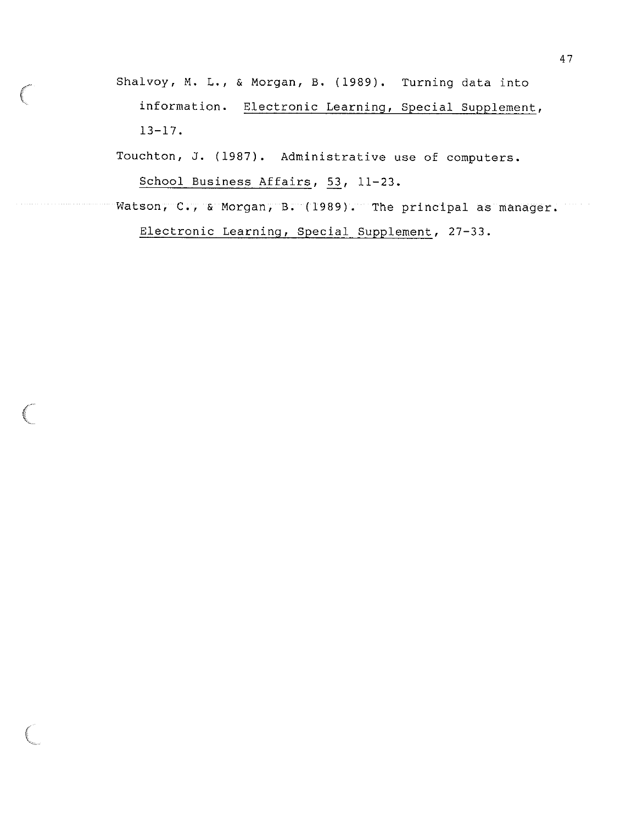Shalvoy, M. L., & Morgan, B. (1989). Turning data into information. Electronic Learning, Special Supplement, 13-17.

Touchton, J. (1987). Administrative use of computers. School Business Affairs, 53, 11-23.

Watson, C., & Morgan, B. (1989). The principal as manager. Electronic Learning, Special Supplement, 27-33.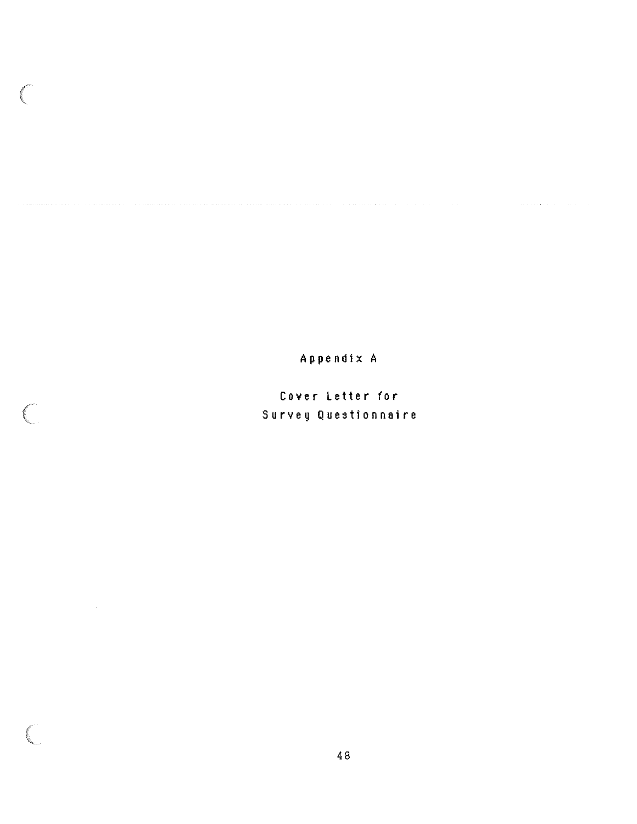Appendix A

<u>non ministrativa oconomical crimanical criticians are critical critical</u> and a series of the series of the critica

Cover Letter for Survey Questionnaire

 $\bigg($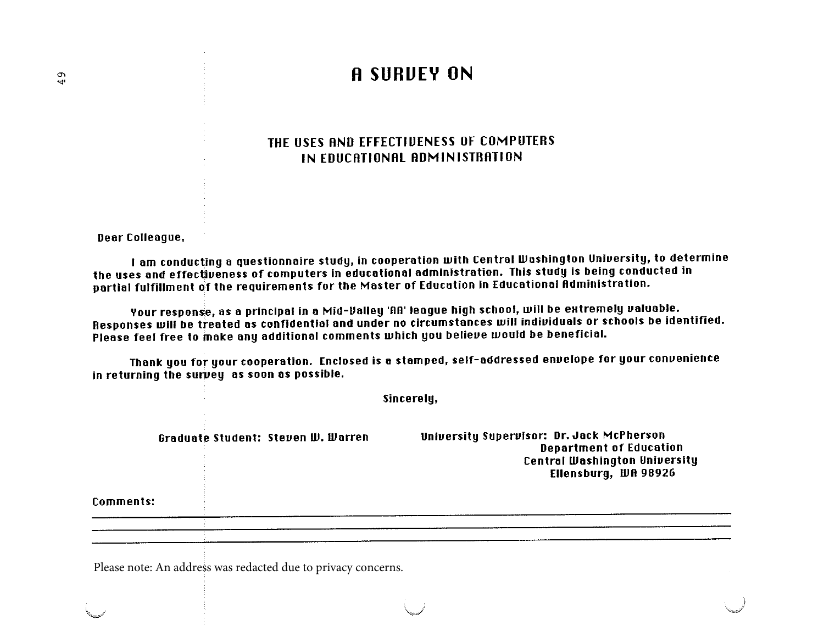# °' ... **A SURUEY ON**

### THE USES AND EFFECTIUENESS OF COMPUTERS IN EDUCATIONAL ADMINISTRATION

Deor Colleague,

I am conducting a questionnaire study, in cooperation with Central Washington University, to determine the uses and effectiveness of computers in educational administration. This study is being conducted in portiol fulfillment of the requirements for the Moster of Education in Educotionol Administration.

Your response, as a principal in a Mid-Valley 'AA' league high school, will be extremely valuable. Responses will be treated as confidential and under no circumstances will individuals or schools be identified. Please feel free to make any additional comments which you believe would be beneficial.

Thank you for your cooperation. Enclosed is a stamped, self-addressed envelope for your convenience in returning the survey as soon as possible.

Comments: Graduate Student: Steven *W. Warren* Sincerely, University Supervisor: Dr. Jack McPherson Deportment of Education Central Washington University Ellensburg, WR 98926

Please note: An address was redacted due to privacy concerns.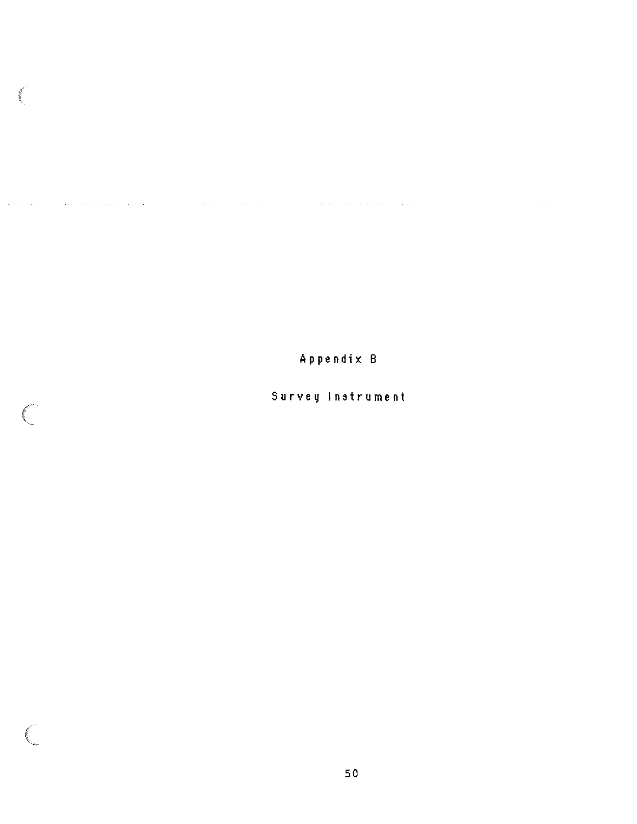**Appendix** B

esten

 $\mathbb{R}$ 

C

# **Survey Instrument**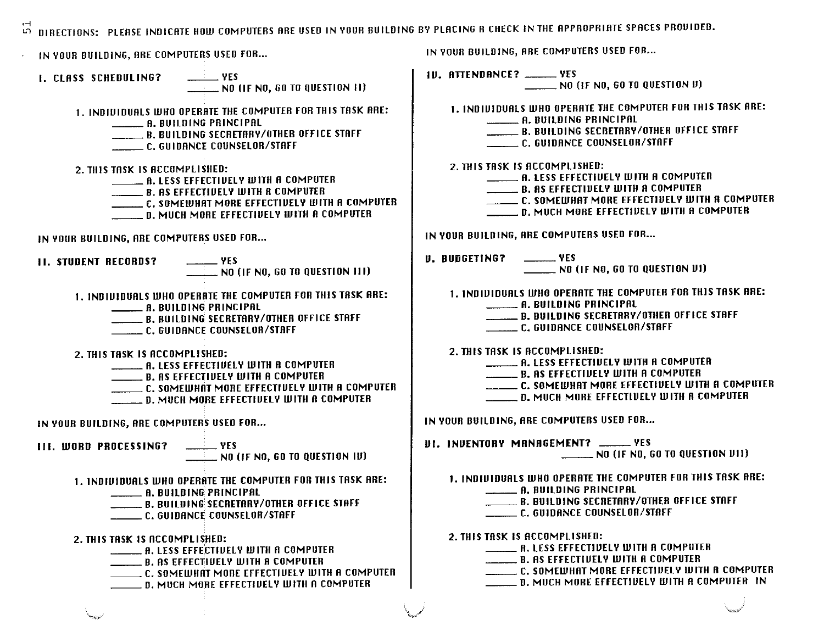$5^{\circ}$ DIRECTIONS: PLEASE INDICATE HOW COMPUTERS ARE USED IN YOUR BUILDING BY PLACING A CHECK IN THE APPROPRIATE SPACES PROUIDED. IN YOUR BUILDING, ARE COMPUTERS USED FOR... I. CLASS SCHEDULING? \_\_\_\_\_\_\_ YES **NO (IF NO, GO TO QUESTION 11)** 1. INDIUIDUALS WHO OPERATE THE COMPUTER FOR THIS TASK ARE: \_\_ A.BUILDING PRINCIPAL \_\_ B. BUILDING SECRETARY/OTHER OFFICE STAFF \_\_ C. GUIDANCE COUNSELOR/STAFF 2. THIS TASK IS ACCOMPLISHED:<br>**A. LESS EFFECTIUELY WITH A COMPUTER EVALUE B. AS EFFECTIVELY WITH A COMPUTER** \_\_ C. SOMEWHAT MORE EFFECTIUEL V *W* 1TH A COMPUTER \_\_ D. MUCH MORE EFFECTIUELV WITH A COMPUTER IN YOUR BUILDING, ARE COMPUTERS USED FOR... 11. STUDENT RECORDS? \_\_\_\_\_\_\_ YES  $\_\_\_\_\_\$  NO (IF NO, 60 TO QUESTION III) 1. INDIUIDURLS WHO OPERATE THE COMPUTER FOR THIS TASK ARE: **FRANCIS WHO OPERATE THE COM<br>---------- A. BUILDING PRINCIPAL<br>-------- B. BUILDING SECRETARY** \_\_ B. BUILDING SECRETRRV/OTHER OFFICE STAFF \_\_ C. GUIDANCE COUNSELOR/STAFF 2. THIS TASK IS ACCOMPLISHED: **TASK IS ACCOMPLISHED:<br>\_\_\_\_\_\_ A. LESS EFFECTIVELY WITH A COMPUTER**<br>\_\_\_\_\_\_ A. LESS EFFECTIVE WILLY A GOMANITER \_\_ B. RS EFFECTIUELY WITH R COMPUTER \_\_ C. SOMEWHAT MORE EFFECTIUELV WITH R COMPUTER \_\_ D. MUCH MORE EFFECTIUEL Y *W* 1TH A COMPUTER IN YOUR BUILDING, ARE COMPUTERS USED FOR... 111. WORD PROCESSING? \_\_\_\_\_\_\_\_ YES<br>NO (IF NO, GO TO QUESTION IV) 1. INDIIJIDURLS WHO OPERATE THE COMPUTER FOR THIS TASK ARE: --R. BUILDING PRINCIPAL \_\_ B. BUILDING SECRETRRV/OTHER OFFICE STAFF \_\_ C. GUIDANCE COUNSELOR/STAFF 2. THIS **TASK IS** ACCOMPLISHED: TASK IS ACCOMPLISHED:<br>\_\_\_\_\_\_\_ A. LESS EFFECTIVELY WITH A COMPUTER<br>\_\_\_\_\_\_\_ A. LESS EFFECTIVELY WITH A COMPUTER THE REAL BASIS OF THE REAL FIELD WITH A COMPUTER<br>B. AS EFFECTIVELY WITH A COMPUTER IN YOUR BUILDING, ARE COMPUTERS USED FOR...<br>|U. ATTENDANCE? \_\_\_\_\_\_YES<br>| NO (IF NO, GO TO QUESTION V) 1. INDIVIDUALS WHO OPERATE THE COMPUTER FOR THIS TASK ARE:<br>A. BUILDING PRINCIPAL<br>ALLO ATTER STATES OF LES CONTRACTED AND THE COST. A. BUILDING PRINCIPAL<br>A. BUILDING SECRETARY/OTHER OFFICE STAFF \_\_ C. GUIDANCE COUNSELOR/STAFF 2. THIS TASK IS ACCOMPLISHED:<br>A. LESS EFFECTIVELY WITH A COMPUTER **EXAMPLE BEFAULT AND STATE IN A COMPUTER**<br>
B. AS EFFECTIVELY WITH A COMPUTER<br> **EXAMPLE AS EFFECTIVELY WITH A COMPUTER** \_\_ C. SOMEWHAT MORE EFFECTIUEL V *W* 1TH A COMPUTER \_\_ D. MUCH MORE EFFECTIUELV WITH A COMPUTER IN VOUR BUILDING, ARE COMPUTERS USED FOR ••• IJ. BUDGETING? --YES \_\_ NO (IF NO, GO TO QUESTION II I) 1. INDIVIDUALS WHO OPERATE THE COMPUTER FOR THIS TASK ARE:<br>A. BUILDING PRINCIPAL<br>B. BUILDING SECRETARY/OTHER OFFICE STAFF<br>C. GUIDANCE COUNSELAR/STAFF **-------- A. BUILDING PRINCIPAL<br>------ B. BUILDING SECRETARY/OTHER OFFICE STAFF**<br>------- C. GUIDANCE COUNSELOR/STAFF 2. THIS TASK IS ACCOMPLISHED: TASK IS ACCOMPLISHED:<br>\_\_\_\_\_\_\_ A. LESS EFFECTIVELY WITH A COMPUTER<br>\_\_\_\_\_\_\_ A. LESS EFFECTIVELY WITH A COMPUTER \_\_ B. AS EFFECTIIJEL Y WITH A COMPUTER \_\_ C. SOMEWHAT MORE EFFECTIIJELY WITH R COMPUTER C. SOMEWHAT MORE EFFECTIVELY WITH A COMP<br>\_\_\_\_\_\_\_ D. MUCH MORE EFFECTIVELY WITH A COMPUTER IN YOUR BUILDING, ARE COMPUTERS USED FOR... **ILL. INDENTORY MANAGEMENT?** \_\_\_\_\_\_ YES<br>NO (IF NO, GO TO QUESTION DII) 1. INDIUIDURLS WHO OPERATE THE COMPUTER FOR THIS TASK ARE: UIDUALS WHO OPERATE THE COM<br>-------- A. BUILDING PRINCIPAL<br>-------- R. BUILDING SECRETARY ENSING AN INCIPAL<br>A. BUILDING PRINCIPAL<br>B. BUILDING SECRETARY/OTHER OFFICE STAFF \_\_ C. GUIDANCE COUNSELOR/STAFF 2. THIS TASK IS ACCOMPLISHED: ---------- C. GUIDANCE COUNSELOR/STAFF<br>TASK IS ACCOMPLISHED:<br>-------- A. LESS EFFECTIVELY WITH A COMPUTER **EVALUATE:** B. AS EFFECTIVELY WITH A COMPUTER \_\_ C. SOMEWHAT MORE EFFECTIUELV WITH R COMPUTER

\_\_ D. MUCH MORE EFFECTIUELV WITH A COMPUTER IN

\_\_ C. SOMEWHAT MORE EFFECTIUELY WITH R COMPUTER

**Example 19 Second More Effectively With A COMP**<br>**C. SOMEWHAT MORE EFFECTIVELY WITH A COMPUTER**